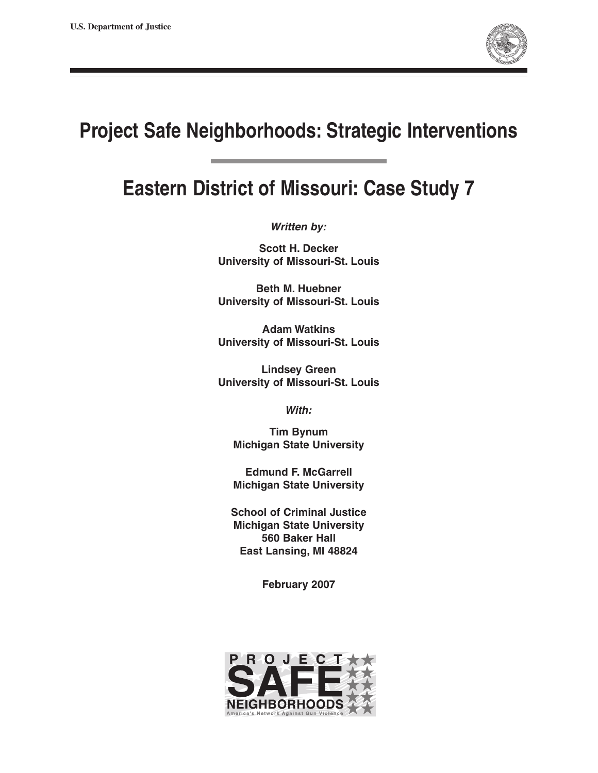

# **Project Safe Neighborhoods: Strategic Interventions**

# **Eastern District of Missouri: Case Study 7**

**Written by:** 

**Scott H. Decker University of Missouri-St. Louis** 

**Beth M. Huebner University of Missouri-St. Louis** 

**Adam Watkins University of Missouri-St. Louis** 

**Lindsey Green University of Missouri-St. Louis** 

**With:** 

**Tim Bynum Michigan State University** 

**Edmund F. McGarrell Michigan State University** 

**School of Criminal Justice Michigan State University 560 Baker Hall East Lansing, MI 48824** 

**February 2007** 

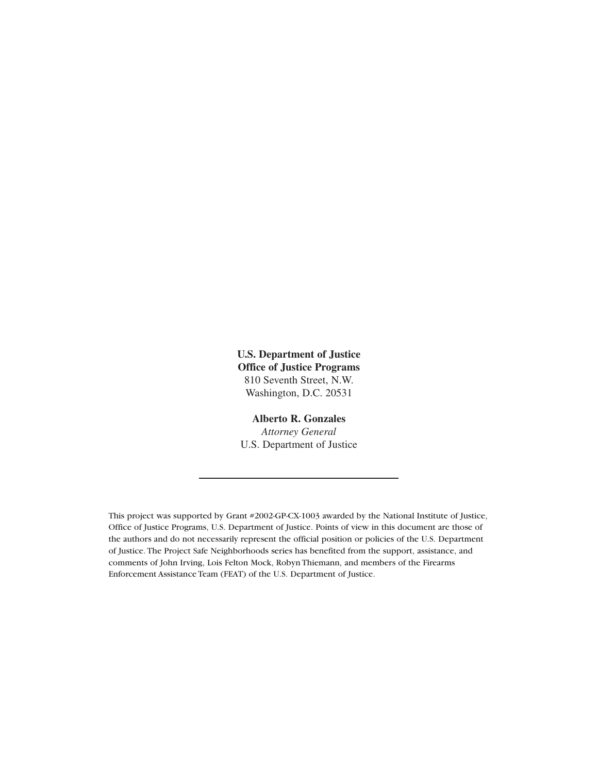**U.S. Department of Justice Office of Justice Programs** 810 Seventh Street, N.W. Washington, D.C. 20531

### **Alberto R. Gonzales**

*Attorney General*  U.S. Department of Justice

This project was supported by Grant #2002-GP-CX-1003 awarded by the National Institute of Justice, Office of Justice Programs, U.S. Department of Justice. Points of view in this document are those of the authors and do not necessarily represent the official position or policies of the U.S. Department of Justice. The Project Safe Neighborhoods series has benefited from the support, assistance, and comments of John Irving, Lois Felton Mock, Robyn Thiemann, and members of the Firearms Enforcement Assistance Team (FEAT) of the U.S. Department of Justice.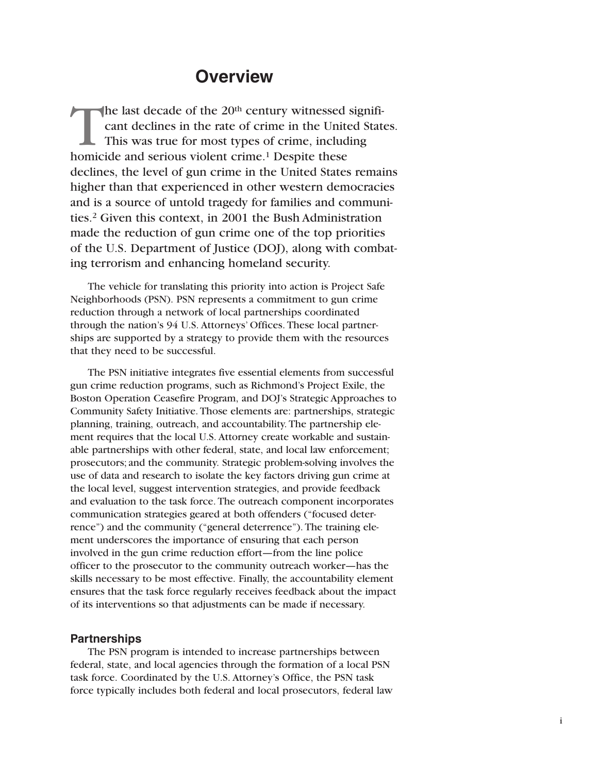### **Overview**

The last decade of the  $20<sup>th</sup>$  century witnessed significant declines in the rate of crime in the United States. This was true for most types of crime, including homicide and serious violent crime.<sup>1</sup> Despite these declines, the level of gun crime in the United States remains higher than that experienced in other western democracies and is a source of untold tragedy for families and communities.2 Given this context, in 2001 the Bush Administration made the reduction of gun crime one of the top priorities of the U.S. Department of Justice (DOJ), along with combating terrorism and enhancing homeland security.

The vehicle for translating this priority into action is Project Safe Neighborhoods (PSN). PSN represents a commitment to gun crime reduction through a network of local partnerships coordinated through the nation's 94 U.S. Attorneys' Offices. These local partnerships are supported by a strategy to provide them with the resources that they need to be successful.

The PSN initiative integrates five essential elements from successful gun crime reduction programs, such as Richmond's Project Exile, the Boston Operation Ceasefire Program, and DOJ's Strategic Approaches to Community Safety Initiative. Those elements are: partnerships, strategic planning, training, outreach, and accountability. The partnership element requires that the local U.S. Attorney create workable and sustainable partnerships with other federal, state, and local law enforcement; prosecutors; and the community. Strategic problem-solving involves the use of data and research to isolate the key factors driving gun crime at the local level, suggest intervention strategies, and provide feedback and evaluation to the task force. The outreach component incorporates communication strategies geared at both offenders ("focused deterrence") and the community ("general deterrence"). The training element underscores the importance of ensuring that each person involved in the gun crime reduction effort—from the line police officer to the prosecutor to the community outreach worker—has the skills necessary to be most effective. Finally, the accountability element ensures that the task force regularly receives feedback about the impact of its interventions so that adjustments can be made if necessary.

### **Partnerships**

The PSN program is intended to increase partnerships between federal, state, and local agencies through the formation of a local PSN task force. Coordinated by the U.S. Attorney's Office, the PSN task force typically includes both federal and local prosecutors, federal law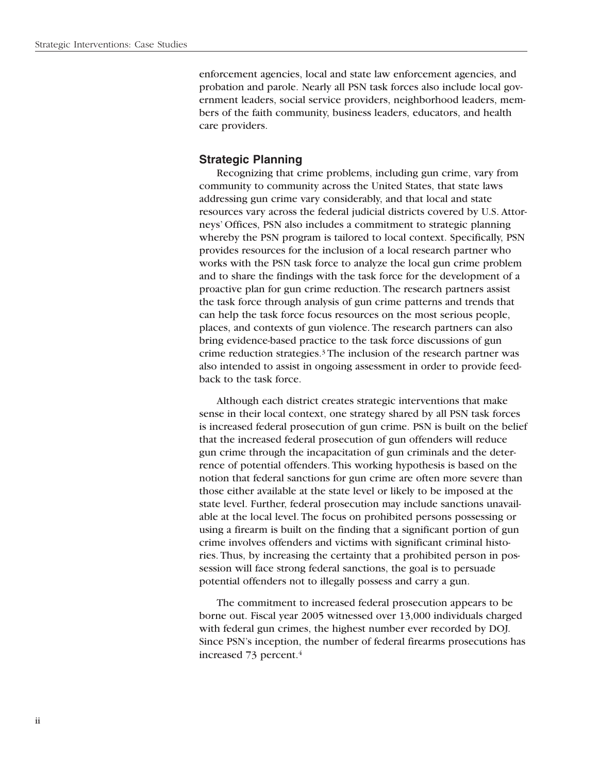enforcement agencies, local and state law enforcement agencies, and probation and parole. Nearly all PSN task forces also include local government leaders, social service providers, neighborhood leaders, members of the faith community, business leaders, educators, and health care providers.

### **Strategic Planning**

Recognizing that crime problems, including gun crime, vary from community to community across the United States, that state laws addressing gun crime vary considerably, and that local and state resources vary across the federal judicial districts covered by U.S. Attorneys' Offices, PSN also includes a commitment to strategic planning whereby the PSN program is tailored to local context. Specifically, PSN provides resources for the inclusion of a local research partner who works with the PSN task force to analyze the local gun crime problem and to share the findings with the task force for the development of a proactive plan for gun crime reduction. The research partners assist the task force through analysis of gun crime patterns and trends that can help the task force focus resources on the most serious people, places, and contexts of gun violence. The research partners can also bring evidence-based practice to the task force discussions of gun crime reduction strategies.3 The inclusion of the research partner was also intended to assist in ongoing assessment in order to provide feedback to the task force.

Although each district creates strategic interventions that make sense in their local context, one strategy shared by all PSN task forces is increased federal prosecution of gun crime. PSN is built on the belief that the increased federal prosecution of gun offenders will reduce gun crime through the incapacitation of gun criminals and the deterrence of potential offenders. This working hypothesis is based on the notion that federal sanctions for gun crime are often more severe than those either available at the state level or likely to be imposed at the state level. Further, federal prosecution may include sanctions unavailable at the local level. The focus on prohibited persons possessing or using a firearm is built on the finding that a significant portion of gun crime involves offenders and victims with significant criminal histories. Thus, by increasing the certainty that a prohibited person in possession will face strong federal sanctions, the goal is to persuade potential offenders not to illegally possess and carry a gun.

The commitment to increased federal prosecution appears to be borne out. Fiscal year 2005 witnessed over 13,000 individuals charged with federal gun crimes, the highest number ever recorded by DOJ. Since PSN's inception, the number of federal firearms prosecutions has increased 73 percent.4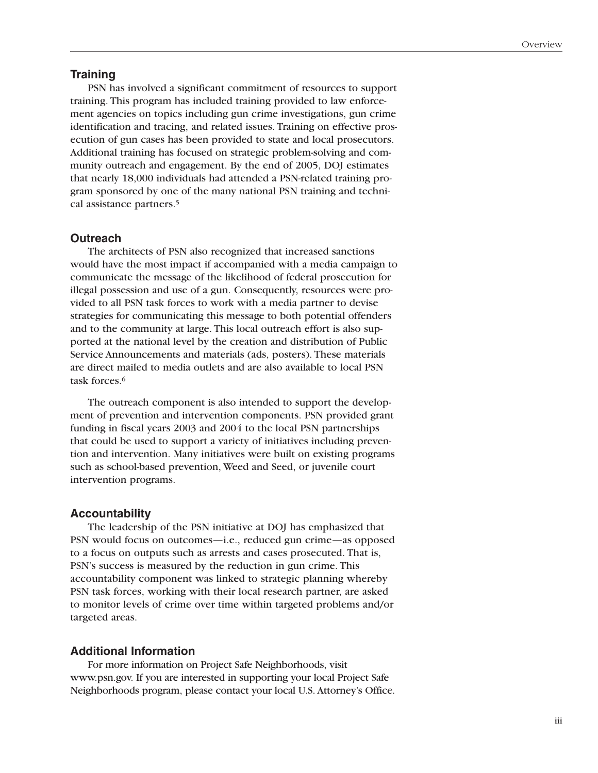### **Training**

PSN has involved a significant commitment of resources to support training. This program has included training provided to law enforcement agencies on topics including gun crime investigations, gun crime identification and tracing, and related issues. Training on effective prosecution of gun cases has been provided to state and local prosecutors. Additional training has focused on strategic problem-solving and community outreach and engagement. By the end of 2005, DOJ estimates that nearly 18,000 individuals had attended a PSN-related training program sponsored by one of the many national PSN training and technical assistance partners.<sup>5</sup>

### **Outreach**

The architects of PSN also recognized that increased sanctions would have the most impact if accompanied with a media campaign to communicate the message of the likelihood of federal prosecution for illegal possession and use of a gun. Consequently, resources were provided to all PSN task forces to work with a media partner to devise strategies for communicating this message to both potential offenders and to the community at large. This local outreach effort is also supported at the national level by the creation and distribution of Public Service Announcements and materials (ads, posters). These materials are direct mailed to media outlets and are also available to local PSN task forces.<sup>6</sup>

The outreach component is also intended to support the development of prevention and intervention components. PSN provided grant funding in fiscal years 2003 and 2004 to the local PSN partnerships that could be used to support a variety of initiatives including prevention and intervention. Many initiatives were built on existing programs such as school-based prevention, Weed and Seed, or juvenile court intervention programs.

#### **Accountability**

The leadership of the PSN initiative at DOJ has emphasized that PSN would focus on outcomes—i.e., reduced gun crime—as opposed to a focus on outputs such as arrests and cases prosecuted. That is, PSN's success is measured by the reduction in gun crime. This accountability component was linked to strategic planning whereby PSN task forces, working with their local research partner, are asked to monitor levels of crime over time within targeted problems and/or targeted areas.

### **Additional Information**

For more information on Project Safe Neighborhoods, visit www.psn.gov. If you are interested in supporting your local Project Safe Neighborhoods program, please contact your local U.S. Attorney's Office.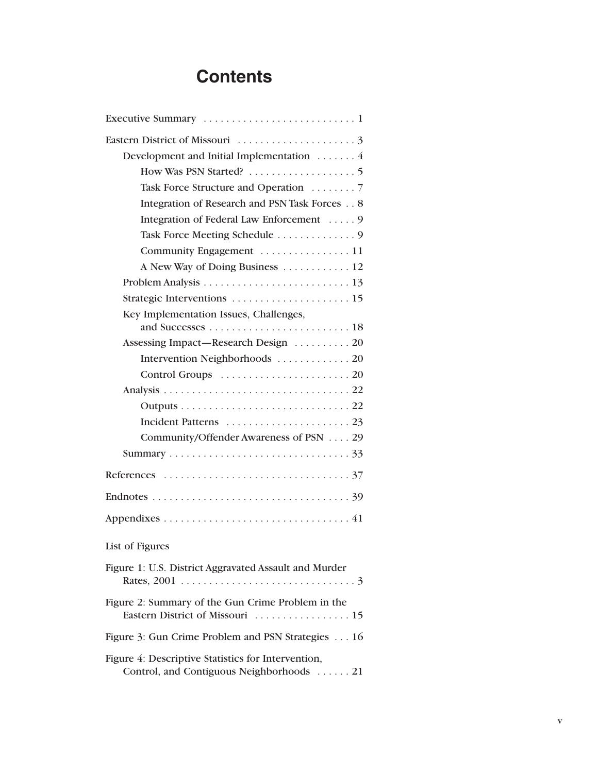# **Contents**

| Development and Initial Implementation  4                                                       |
|-------------------------------------------------------------------------------------------------|
|                                                                                                 |
|                                                                                                 |
| Integration of Research and PSN Task Forces 8                                                   |
| Integration of Federal Law Enforcement  9                                                       |
|                                                                                                 |
|                                                                                                 |
| A New Way of Doing Business  12                                                                 |
|                                                                                                 |
|                                                                                                 |
| Key Implementation Issues, Challenges,                                                          |
|                                                                                                 |
| Assessing Impact—Research Design  20                                                            |
| Intervention Neighborhoods  20                                                                  |
|                                                                                                 |
|                                                                                                 |
|                                                                                                 |
|                                                                                                 |
| Community/Offender Awareness of PSN 29                                                          |
|                                                                                                 |
|                                                                                                 |
|                                                                                                 |
|                                                                                                 |
| List of Figures                                                                                 |
| Figure 1: U.S. District Aggravated Assault and Murder                                           |
| Figure 2: Summary of the Gun Crime Problem in the                                               |
| Figure 3: Gun Crime Problem and PSN Strategies 16                                               |
| Figure 4: Descriptive Statistics for Intervention,<br>Control, and Contiguous Neighborhoods  21 |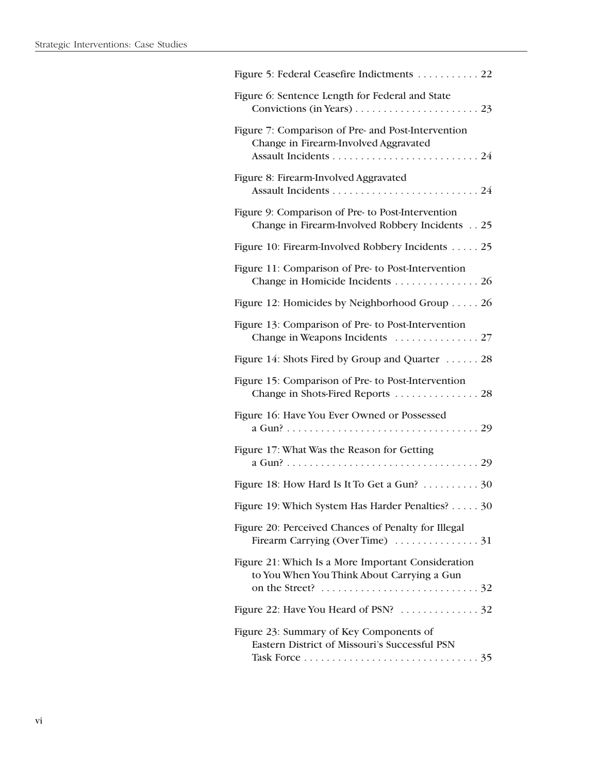| Figure 5: Federal Ceasefire Indictments 22                                                                           |
|----------------------------------------------------------------------------------------------------------------------|
| Figure 6: Sentence Length for Federal and State                                                                      |
| Figure 7: Comparison of Pre- and Post-Intervention<br>Change in Firearm-Involved Aggravated                          |
| Figure 8: Firearm-Involved Aggravated                                                                                |
| Figure 9: Comparison of Pre- to Post-Intervention<br>Change in Firearm-Involved Robbery Incidents 25                 |
| Figure 10: Firearm-Involved Robbery Incidents 25                                                                     |
| Figure 11: Comparison of Pre- to Post-Intervention<br>Change in Homicide Incidents 26                                |
| Figure 12: Homicides by Neighborhood Group 26                                                                        |
| Figure 13: Comparison of Pre- to Post-Intervention                                                                   |
| Figure 14: Shots Fired by Group and Quarter  28                                                                      |
| Figure 15: Comparison of Pre- to Post-Intervention<br>Change in Shots-Fired Reports  28                              |
| Figure 16: Have You Ever Owned or Possessed                                                                          |
| Figure 17: What Was the Reason for Getting                                                                           |
| Figure 18: How Hard Is It To Get a Gun? 30                                                                           |
| Figure 19: Which System Has Harder Penalties?<br>30                                                                  |
| Figure 20: Perceived Chances of Penalty for Illegal<br>Firearm Carrying (Over Time) $\ldots \ldots \ldots \ldots$ 31 |
| Figure 21: Which Is a More Important Consideration<br>to You When You Think About Carrying a Gun                     |
|                                                                                                                      |
| Figure 23: Summary of Key Components of<br>Eastern District of Missouri's Successful PSN                             |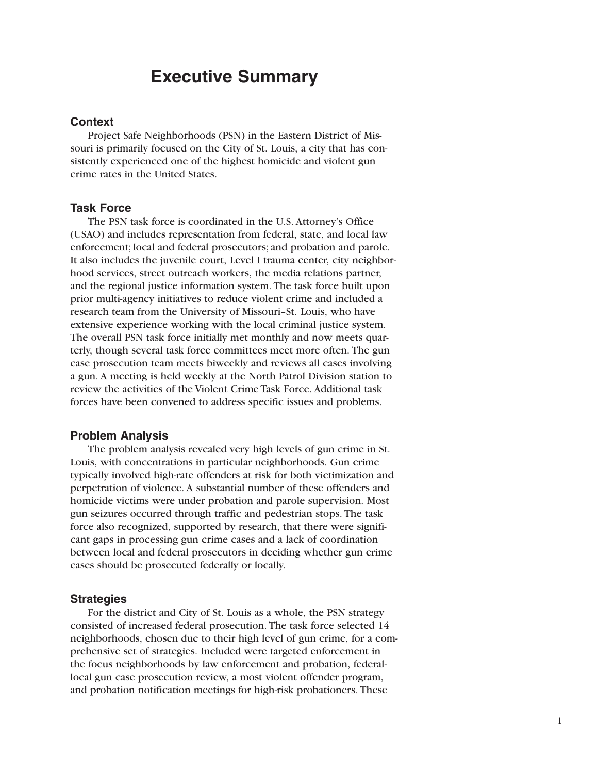### **Executive Summary**

### **Context**

Project Safe Neighborhoods (PSN) in the Eastern District of Missouri is primarily focused on the City of St. Louis, a city that has consistently experienced one of the highest homicide and violent gun crime rates in the United States.

### **Task Force**

The PSN task force is coordinated in the U.S. Attorney's Office (USAO) and includes representation from federal, state, and local law enforcement; local and federal prosecutors; and probation and parole. It also includes the juvenile court, Level I trauma center, city neighborhood services, street outreach workers, the media relations partner, and the regional justice information system. The task force built upon prior multi-agency initiatives to reduce violent crime and included a research team from the University of Missouri–St. Louis, who have extensive experience working with the local criminal justice system. The overall PSN task force initially met monthly and now meets quarterly, though several task force committees meet more often. The gun case prosecution team meets biweekly and reviews all cases involving a gun. A meeting is held weekly at the North Patrol Division station to review the activities of the Violent Crime Task Force. Additional task forces have been convened to address specific issues and problems.

### **Problem Analysis**

The problem analysis revealed very high levels of gun crime in St. Louis, with concentrations in particular neighborhoods. Gun crime typically involved high-rate offenders at risk for both victimization and perpetration of violence. A substantial number of these offenders and homicide victims were under probation and parole supervision. Most gun seizures occurred through traffic and pedestrian stops. The task force also recognized, supported by research, that there were significant gaps in processing gun crime cases and a lack of coordination between local and federal prosecutors in deciding whether gun crime cases should be prosecuted federally or locally.

#### **Strategies**

For the district and City of St. Louis as a whole, the PSN strategy consisted of increased federal prosecution. The task force selected 14 neighborhoods, chosen due to their high level of gun crime, for a comprehensive set of strategies. Included were targeted enforcement in the focus neighborhoods by law enforcement and probation, federallocal gun case prosecution review, a most violent offender program, and probation notification meetings for high-risk probationers. These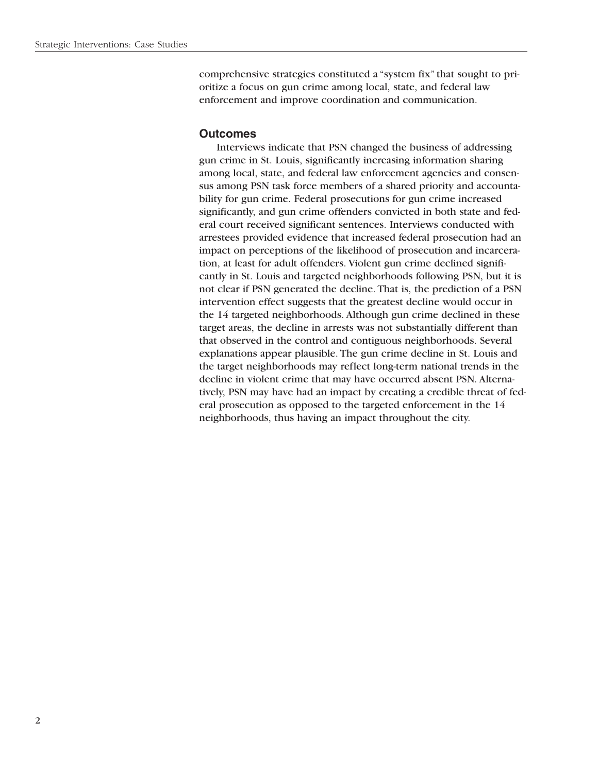comprehensive strategies constituted a "system fix" that sought to prioritize a focus on gun crime among local, state, and federal law enforcement and improve coordination and communication.

### **Outcomes**

Interviews indicate that PSN changed the business of addressing gun crime in St. Louis, significantly increasing information sharing among local, state, and federal law enforcement agencies and consensus among PSN task force members of a shared priority and accountability for gun crime. Federal prosecutions for gun crime increased significantly, and gun crime offenders convicted in both state and federal court received significant sentences. Interviews conducted with arrestees provided evidence that increased federal prosecution had an impact on perceptions of the likelihood of prosecution and incarceration, at least for adult offenders. Violent gun crime declined significantly in St. Louis and targeted neighborhoods following PSN, but it is not clear if PSN generated the decline. That is, the prediction of a PSN intervention effect suggests that the greatest decline would occur in the 14 targeted neighborhoods. Although gun crime declined in these target areas, the decline in arrests was not substantially different than that observed in the control and contiguous neighborhoods. Several explanations appear plausible. The gun crime decline in St. Louis and the target neighborhoods may reflect long-term national trends in the decline in violent crime that may have occurred absent PSN. Alternatively, PSN may have had an impact by creating a credible threat of federal prosecution as opposed to the targeted enforcement in the 14 neighborhoods, thus having an impact throughout the city.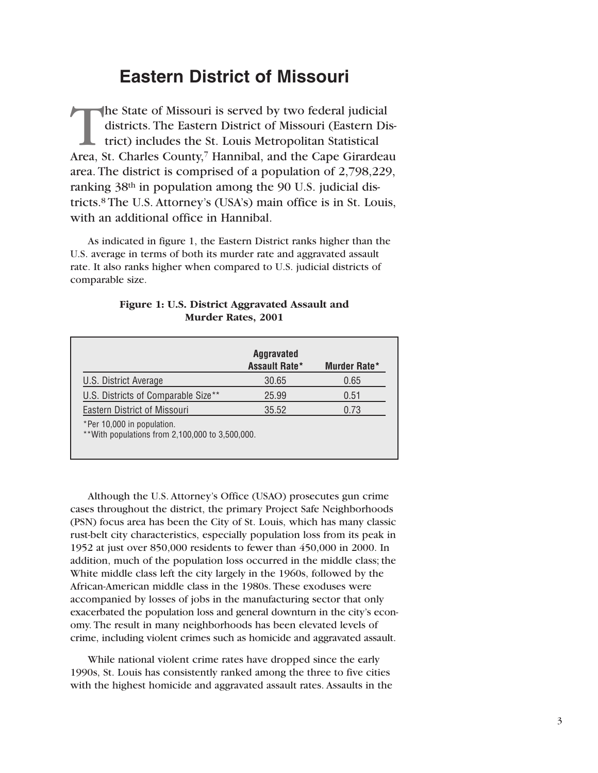# **Eastern District of Missouri**

The State of Missouri is served by two federal judicial districts. The Eastern District of Missouri (Eastern District) includes the St. Louis Metropolitan Statistical Area, St. Charles County,<sup>7</sup> Hannibal, and the Cape Girardeau area. The district is comprised of a population of 2,798,229, ranking 38th in population among the 90 U.S. judicial districts.8 The U.S. Attorney's (USA's) main office is in St. Louis, with an additional office in Hannibal.

As indicated in figure 1, the Eastern District ranks higher than the U.S. average in terms of both its murder rate and aggravated assault rate. It also ranks higher when compared to U.S. judicial districts of comparable size.

|                                                                                | <b>Aggravated</b><br><b>Assault Rate*</b> | Murder Rate* |
|--------------------------------------------------------------------------------|-------------------------------------------|--------------|
| U.S. District Average                                                          | 30.65                                     | 0.65         |
| U.S. Districts of Comparable Size**                                            | 25.99                                     | 0.51         |
| <b>Eastern District of Missouri</b>                                            | 35.52                                     | 0.73         |
| *Per 10,000 in population.<br>** With populations from 2,100,000 to 3,500,000. |                                           |              |

### **Figure 1: U.S. District Aggravated Assault and Murder Rates, 2001**

Although the U.S. Attorney's Office (USAO) prosecutes gun crime cases throughout the district, the primary Project Safe Neighborhoods (PSN) focus area has been the City of St. Louis, which has many classic rust-belt city characteristics, especially population loss from its peak in 1952 at just over 850,000 residents to fewer than 450,000 in 2000. In addition, much of the population loss occurred in the middle class; the White middle class left the city largely in the 1960s, followed by the African-American middle class in the 1980s. These exoduses were accompanied by losses of jobs in the manufacturing sector that only exacerbated the population loss and general downturn in the city's economy. The result in many neighborhoods has been elevated levels of crime, including violent crimes such as homicide and aggravated assault.

While national violent crime rates have dropped since the early 1990s, St. Louis has consistently ranked among the three to five cities with the highest homicide and aggravated assault rates. Assaults in the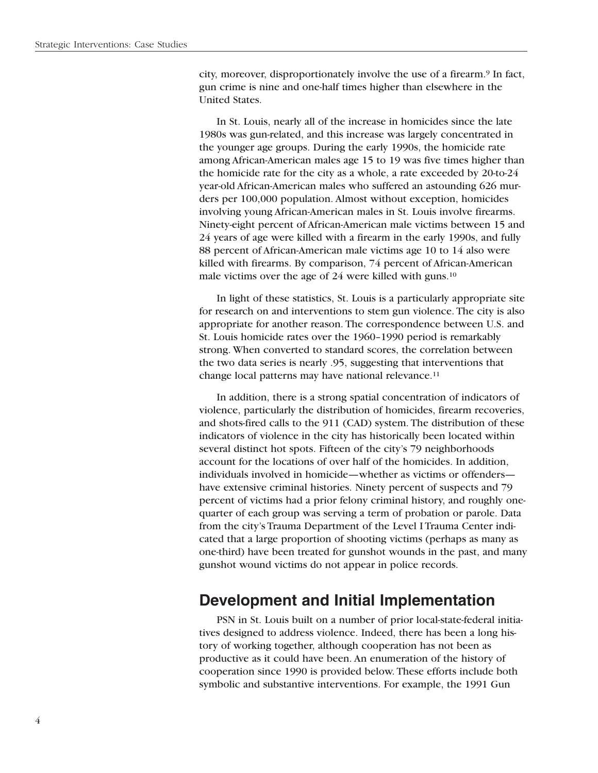city, moreover, disproportionately involve the use of a firearm.9 In fact, gun crime is nine and one-half times higher than elsewhere in the United States.

In St. Louis, nearly all of the increase in homicides since the late 1980s was gun-related, and this increase was largely concentrated in the younger age groups. During the early 1990s, the homicide rate among African-American males age 15 to 19 was five times higher than the homicide rate for the city as a whole, a rate exceeded by 20-to-24 year-old African-American males who suffered an astounding 626 murders per 100,000 population. Almost without exception, homicides involving young African-American males in St. Louis involve firearms. Ninety-eight percent of African-American male victims between 15 and 24 years of age were killed with a firearm in the early 1990s, and fully 88 percent of African-American male victims age 10 to 14 also were killed with firearms. By comparison, 74 percent of African-American male victims over the age of 24 were killed with guns.<sup>10</sup>

In light of these statistics, St. Louis is a particularly appropriate site for research on and interventions to stem gun violence. The city is also appropriate for another reason. The correspondence between U.S. and St. Louis homicide rates over the 1960–1990 period is remarkably strong. When converted to standard scores, the correlation between the two data series is nearly .95, suggesting that interventions that change local patterns may have national relevance.<sup>11</sup>

In addition, there is a strong spatial concentration of indicators of violence, particularly the distribution of homicides, firearm recoveries, and shots-fired calls to the 911 (CAD) system. The distribution of these indicators of violence in the city has historically been located within several distinct hot spots. Fifteen of the city's 79 neighborhoods account for the locations of over half of the homicides. In addition, individuals involved in homicide—whether as victims or offenders have extensive criminal histories. Ninety percent of suspects and 79 percent of victims had a prior felony criminal history, and roughly onequarter of each group was serving a term of probation or parole. Data from the city's Trauma Department of the Level I Trauma Center indicated that a large proportion of shooting victims (perhaps as many as one-third) have been treated for gunshot wounds in the past, and many gunshot wound victims do not appear in police records.

### **Development and Initial Implementation**

PSN in St. Louis built on a number of prior local-state-federal initiatives designed to address violence. Indeed, there has been a long history of working together, although cooperation has not been as productive as it could have been. An enumeration of the history of cooperation since 1990 is provided below. These efforts include both symbolic and substantive interventions. For example, the 1991 Gun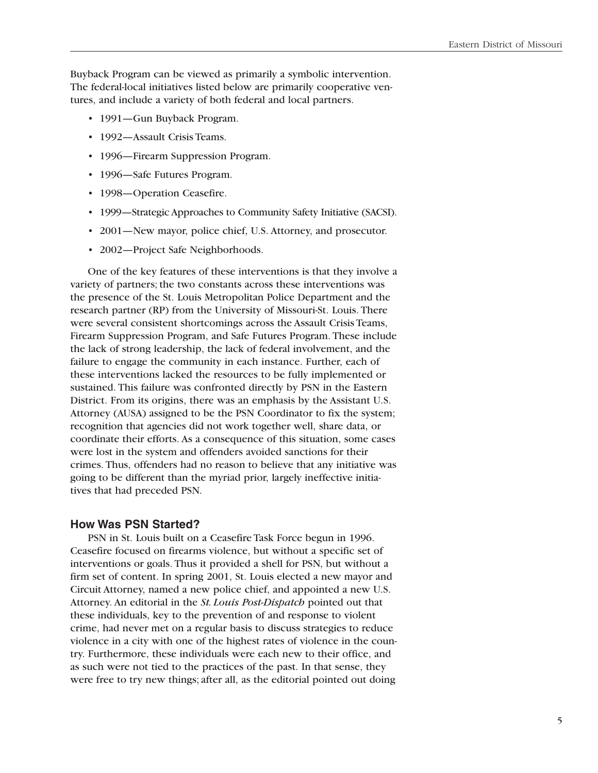Buyback Program can be viewed as primarily a symbolic intervention. The federal-local initiatives listed below are primarily cooperative ventures, and include a variety of both federal and local partners.

- 1991—Gun Buyback Program.
- 1992—Assault Crisis Teams.
- 1996—Firearm Suppression Program.
- 1996—Safe Futures Program.
- 1998-Operation Ceasefire.
- 1999—Strategic Approaches to Community Safety Initiative (SACSI).
- 2001—New mayor, police chief, U.S. Attorney, and prosecutor.
- 2002—Project Safe Neighborhoods.

One of the key features of these interventions is that they involve a variety of partners; the two constants across these interventions was the presence of the St. Louis Metropolitan Police Department and the research partner (RP) from the University of Missouri-St. Louis. There were several consistent shortcomings across the Assault Crisis Teams, Firearm Suppression Program, and Safe Futures Program. These include the lack of strong leadership, the lack of federal involvement, and the failure to engage the community in each instance. Further, each of these interventions lacked the resources to be fully implemented or sustained. This failure was confronted directly by PSN in the Eastern District. From its origins, there was an emphasis by the Assistant U.S. Attorney (AUSA) assigned to be the PSN Coordinator to fix the system; recognition that agencies did not work together well, share data, or coordinate their efforts. As a consequence of this situation, some cases were lost in the system and offenders avoided sanctions for their crimes. Thus, offenders had no reason to believe that any initiative was going to be different than the myriad prior, largely ineffective initiatives that had preceded PSN.

### **How Was PSN Started?**

PSN in St. Louis built on a Ceasefire Task Force begun in 1996. Ceasefire focused on firearms violence, but without a specific set of interventions or goals. Thus it provided a shell for PSN, but without a firm set of content. In spring 2001, St. Louis elected a new mayor and Circuit Attorney, named a new police chief, and appointed a new U.S. Attorney. An editorial in the *St. Louis Post-Dispatch* pointed out that these individuals, key to the prevention of and response to violent crime, had never met on a regular basis to discuss strategies to reduce violence in a city with one of the highest rates of violence in the country. Furthermore, these individuals were each new to their office, and as such were not tied to the practices of the past. In that sense, they were free to try new things; after all, as the editorial pointed out doing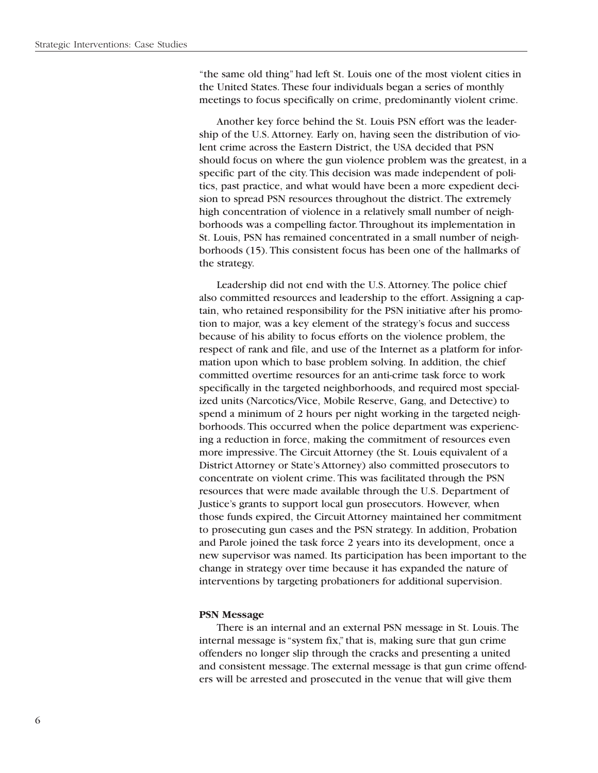"the same old thing" had left St. Louis one of the most violent cities in the United States. These four individuals began a series of monthly meetings to focus specifically on crime, predominantly violent crime.

Another key force behind the St. Louis PSN effort was the leadership of the U.S. Attorney. Early on, having seen the distribution of violent crime across the Eastern District, the USA decided that PSN should focus on where the gun violence problem was the greatest, in a specific part of the city. This decision was made independent of politics, past practice, and what would have been a more expedient decision to spread PSN resources throughout the district. The extremely high concentration of violence in a relatively small number of neighborhoods was a compelling factor. Throughout its implementation in St. Louis, PSN has remained concentrated in a small number of neighborhoods (15). This consistent focus has been one of the hallmarks of the strategy.

Leadership did not end with the U.S. Attorney. The police chief also committed resources and leadership to the effort. Assigning a captain, who retained responsibility for the PSN initiative after his promotion to major, was a key element of the strategy's focus and success because of his ability to focus efforts on the violence problem, the respect of rank and file, and use of the Internet as a platform for information upon which to base problem solving. In addition, the chief committed overtime resources for an anti-crime task force to work specifically in the targeted neighborhoods, and required most specialized units (Narcotics/Vice, Mobile Reserve, Gang, and Detective) to spend a minimum of 2 hours per night working in the targeted neighborhoods. This occurred when the police department was experiencing a reduction in force, making the commitment of resources even more impressive. The Circuit Attorney (the St. Louis equivalent of a District Attorney or State's Attorney) also committed prosecutors to concentrate on violent crime. This was facilitated through the PSN resources that were made available through the U.S. Department of Justice's grants to support local gun prosecutors. However, when those funds expired, the Circuit Attorney maintained her commitment to prosecuting gun cases and the PSN strategy. In addition, Probation and Parole joined the task force 2 years into its development, once a new supervisor was named. Its participation has been important to the change in strategy over time because it has expanded the nature of interventions by targeting probationers for additional supervision.

#### **PSN Message**

There is an internal and an external PSN message in St. Louis. The internal message is "system fix," that is, making sure that gun crime offenders no longer slip through the cracks and presenting a united and consistent message. The external message is that gun crime offenders will be arrested and prosecuted in the venue that will give them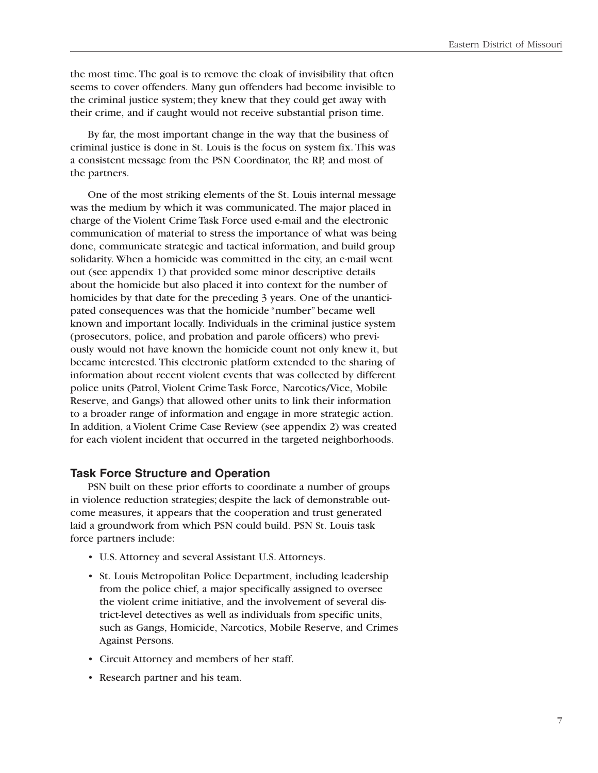the most time. The goal is to remove the cloak of invisibility that often seems to cover offenders. Many gun offenders had become invisible to the criminal justice system; they knew that they could get away with their crime, and if caught would not receive substantial prison time.

By far, the most important change in the way that the business of criminal justice is done in St. Louis is the focus on system fix. This was a consistent message from the PSN Coordinator, the RP, and most of the partners.

One of the most striking elements of the St. Louis internal message was the medium by which it was communicated. The major placed in charge of the Violent Crime Task Force used e-mail and the electronic communication of material to stress the importance of what was being done, communicate strategic and tactical information, and build group solidarity. When a homicide was committed in the city, an e-mail went out (see appendix 1) that provided some minor descriptive details about the homicide but also placed it into context for the number of homicides by that date for the preceding 3 years. One of the unanticipated consequences was that the homicide "number" became well known and important locally. Individuals in the criminal justice system (prosecutors, police, and probation and parole officers) who previously would not have known the homicide count not only knew it, but became interested. This electronic platform extended to the sharing of information about recent violent events that was collected by different police units (Patrol, Violent Crime Task Force, Narcotics/Vice, Mobile Reserve, and Gangs) that allowed other units to link their information to a broader range of information and engage in more strategic action. In addition, a Violent Crime Case Review (see appendix 2) was created for each violent incident that occurred in the targeted neighborhoods.

### **Task Force Structure and Operation**

PSN built on these prior efforts to coordinate a number of groups in violence reduction strategies; despite the lack of demonstrable outcome measures, it appears that the cooperation and trust generated laid a groundwork from which PSN could build. PSN St. Louis task force partners include:

- • U.S. Attorney and several Assistant U.S. Attorneys.
- St. Louis Metropolitan Police Department, including leadership from the police chief, a major specifically assigned to oversee the violent crime initiative, and the involvement of several district-level detectives as well as individuals from specific units, such as Gangs, Homicide, Narcotics, Mobile Reserve, and Crimes Against Persons.
- • Circuit Attorney and members of her staff.
- • Research partner and his team.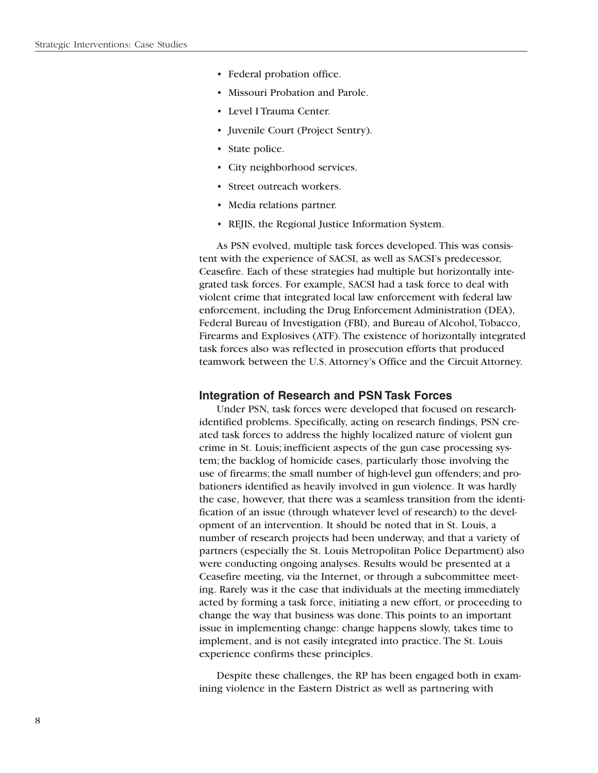- Federal probation office.
- Missouri Probation and Parole.
- Level I Trauma Center.
- Juvenile Court (Project Sentry).
- State police.
- City neighborhood services.
- Street outreach workers.
- Media relations partner.
- REJIS, the Regional Justice Information System.

As PSN evolved, multiple task forces developed. This was consistent with the experience of SACSI, as well as SACSI's predecessor, Ceasefire. Each of these strategies had multiple but horizontally integrated task forces. For example, SACSI had a task force to deal with violent crime that integrated local law enforcement with federal law enforcement, including the Drug Enforcement Administration (DEA), Federal Bureau of Investigation (FBI), and Bureau of Alcohol, Tobacco, Firearms and Explosives (ATF). The existence of horizontally integrated task forces also was reflected in prosecution efforts that produced teamwork between the U.S. Attorney's Office and the Circuit Attorney.

### **Integration of Research and PSN Task Forces**

Under PSN, task forces were developed that focused on researchidentified problems. Specifically, acting on research findings, PSN created task forces to address the highly localized nature of violent gun crime in St. Louis; inefficient aspects of the gun case processing system; the backlog of homicide cases, particularly those involving the use of firearms; the small number of high-level gun offenders; and probationers identified as heavily involved in gun violence. It was hardly the case, however, that there was a seamless transition from the identification of an issue (through whatever level of research) to the development of an intervention. It should be noted that in St. Louis, a number of research projects had been underway, and that a variety of partners (especially the St. Louis Metropolitan Police Department) also were conducting ongoing analyses. Results would be presented at a Ceasefire meeting, via the Internet, or through a subcommittee meeting. Rarely was it the case that individuals at the meeting immediately acted by forming a task force, initiating a new effort, or proceeding to change the way that business was done. This points to an important issue in implementing change: change happens slowly, takes time to implement, and is not easily integrated into practice. The St. Louis experience confirms these principles.

Despite these challenges, the RP has been engaged both in examining violence in the Eastern District as well as partnering with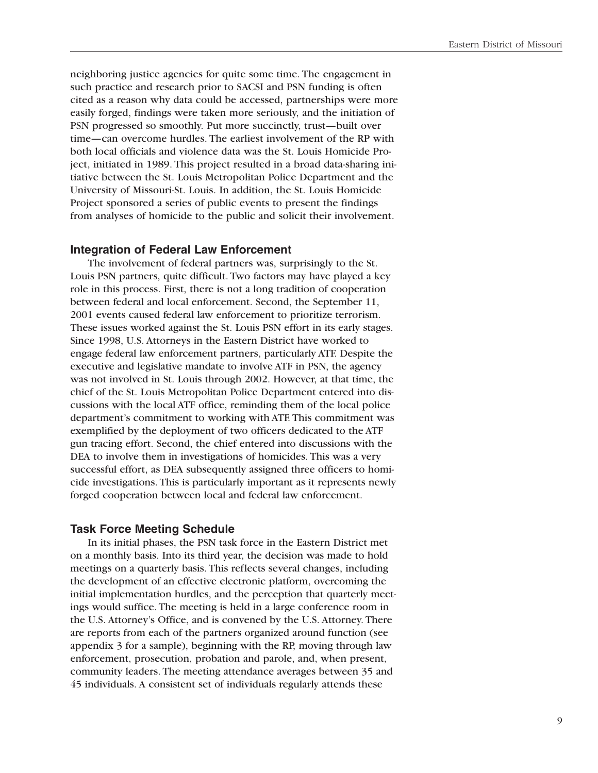neighboring justice agencies for quite some time. The engagement in such practice and research prior to SACSI and PSN funding is often cited as a reason why data could be accessed, partnerships were more easily forged, findings were taken more seriously, and the initiation of PSN progressed so smoothly. Put more succinctly, trust—built over time—can overcome hurdles. The earliest involvement of the RP with both local officials and violence data was the St. Louis Homicide Project, initiated in 1989. This project resulted in a broad data-sharing initiative between the St. Louis Metropolitan Police Department and the University of Missouri-St. Louis. In addition, the St. Louis Homicide Project sponsored a series of public events to present the findings from analyses of homicide to the public and solicit their involvement.

### **Integration of Federal Law Enforcement**

The involvement of federal partners was, surprisingly to the St. Louis PSN partners, quite difficult. Two factors may have played a key role in this process. First, there is not a long tradition of cooperation between federal and local enforcement. Second, the September 11, 2001 events caused federal law enforcement to prioritize terrorism. These issues worked against the St. Louis PSN effort in its early stages. Since 1998, U.S. Attorneys in the Eastern District have worked to engage federal law enforcement partners, particularly ATF. Despite the executive and legislative mandate to involve ATF in PSN, the agency was not involved in St. Louis through 2002. However, at that time, the chief of the St. Louis Metropolitan Police Department entered into discussions with the local ATF office, reminding them of the local police department's commitment to working with ATF. This commitment was exemplified by the deployment of two officers dedicated to the ATF gun tracing effort. Second, the chief entered into discussions with the DEA to involve them in investigations of homicides. This was a very successful effort, as DEA subsequently assigned three officers to homicide investigations. This is particularly important as it represents newly forged cooperation between local and federal law enforcement.

#### **Task Force Meeting Schedule**

In its initial phases, the PSN task force in the Eastern District met on a monthly basis. Into its third year, the decision was made to hold meetings on a quarterly basis. This reflects several changes, including the development of an effective electronic platform, overcoming the initial implementation hurdles, and the perception that quarterly meetings would suffice. The meeting is held in a large conference room in the U.S. Attorney's Office, and is convened by the U.S. Attorney. There are reports from each of the partners organized around function (see appendix 3 for a sample), beginning with the RP, moving through law enforcement, prosecution, probation and parole, and, when present, community leaders. The meeting attendance averages between 35 and 45 individuals. A consistent set of individuals regularly attends these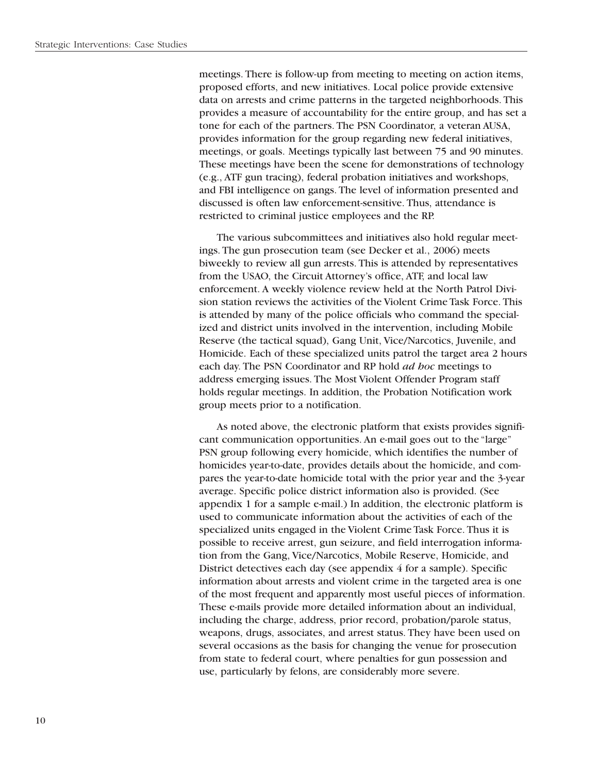meetings. There is follow-up from meeting to meeting on action items, proposed efforts, and new initiatives. Local police provide extensive data on arrests and crime patterns in the targeted neighborhoods. This provides a measure of accountability for the entire group, and has set a tone for each of the partners. The PSN Coordinator, a veteran AUSA, provides information for the group regarding new federal initiatives, meetings, or goals. Meetings typically last between 75 and 90 minutes. These meetings have been the scene for demonstrations of technology (e.g., ATF gun tracing), federal probation initiatives and workshops, and FBI intelligence on gangs. The level of information presented and discussed is often law enforcement-sensitive. Thus, attendance is restricted to criminal justice employees and the RP.

The various subcommittees and initiatives also hold regular meetings. The gun prosecution team (see Decker et al., 2006) meets biweekly to review all gun arrests. This is attended by representatives from the USAO, the Circuit Attorney's office, ATF, and local law enforcement. A weekly violence review held at the North Patrol Division station reviews the activities of the Violent Crime Task Force. This is attended by many of the police officials who command the specialized and district units involved in the intervention, including Mobile Reserve (the tactical squad), Gang Unit, Vice/Narcotics, Juvenile, and Homicide. Each of these specialized units patrol the target area 2 hours each day. The PSN Coordinator and RP hold *ad hoc* meetings to address emerging issues. The Most Violent Offender Program staff holds regular meetings. In addition, the Probation Notification work group meets prior to a notification.

As noted above, the electronic platform that exists provides significant communication opportunities. An e-mail goes out to the "large" PSN group following every homicide, which identifies the number of homicides year-to-date, provides details about the homicide, and compares the year-to-date homicide total with the prior year and the 3-year average. Specific police district information also is provided. (See appendix 1 for a sample e-mail.) In addition, the electronic platform is used to communicate information about the activities of each of the specialized units engaged in the Violent Crime Task Force. Thus it is possible to receive arrest, gun seizure, and field interrogation information from the Gang, Vice/Narcotics, Mobile Reserve, Homicide, and District detectives each day (see appendix 4 for a sample). Specific information about arrests and violent crime in the targeted area is one of the most frequent and apparently most useful pieces of information. These e-mails provide more detailed information about an individual, including the charge, address, prior record, probation/parole status, weapons, drugs, associates, and arrest status. They have been used on several occasions as the basis for changing the venue for prosecution from state to federal court, where penalties for gun possession and use, particularly by felons, are considerably more severe.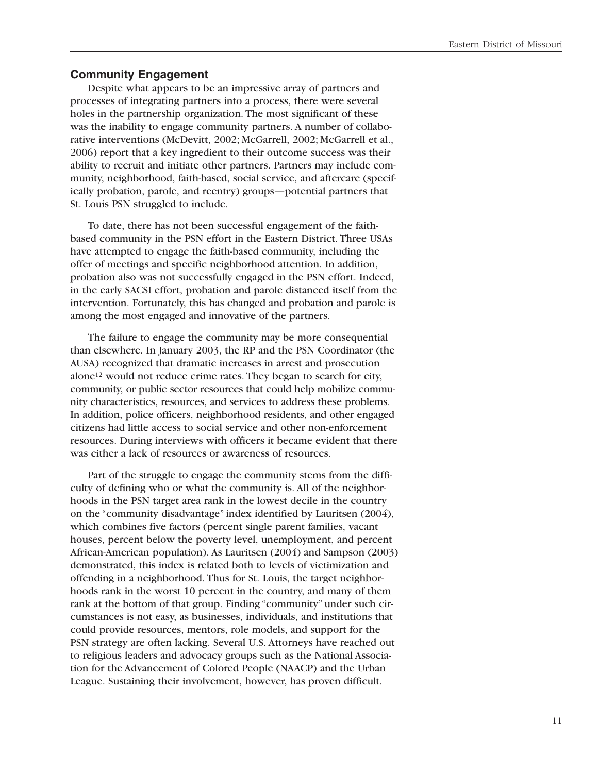### **Community Engagement**

Despite what appears to be an impressive array of partners and processes of integrating partners into a process, there were several holes in the partnership organization. The most significant of these was the inability to engage community partners. A number of collaborative interventions (McDevitt, 2002; McGarrell, 2002; McGarrell et al., 2006) report that a key ingredient to their outcome success was their ability to recruit and initiate other partners. Partners may include community, neighborhood, faith-based, social service, and aftercare (specifically probation, parole, and reentry) groups—potential partners that St. Louis PSN struggled to include.

To date, there has not been successful engagement of the faithbased community in the PSN effort in the Eastern District. Three USAs have attempted to engage the faith-based community, including the offer of meetings and specific neighborhood attention. In addition, probation also was not successfully engaged in the PSN effort. Indeed, in the early SACSI effort, probation and parole distanced itself from the intervention. Fortunately, this has changed and probation and parole is among the most engaged and innovative of the partners.

The failure to engage the community may be more consequential than elsewhere. In January 2003, the RP and the PSN Coordinator (the AUSA) recognized that dramatic increases in arrest and prosecution alone12 would not reduce crime rates. They began to search for city, community, or public sector resources that could help mobilize community characteristics, resources, and services to address these problems. In addition, police officers, neighborhood residents, and other engaged citizens had little access to social service and other non-enforcement resources. During interviews with officers it became evident that there was either a lack of resources or awareness of resources.

Part of the struggle to engage the community stems from the difficulty of defining who or what the community is. All of the neighborhoods in the PSN target area rank in the lowest decile in the country on the "community disadvantage" index identified by Lauritsen (2004), which combines five factors (percent single parent families, vacant houses, percent below the poverty level, unemployment, and percent African-American population). As Lauritsen (2004) and Sampson (2003) demonstrated, this index is related both to levels of victimization and offending in a neighborhood. Thus for St. Louis, the target neighborhoods rank in the worst 10 percent in the country, and many of them rank at the bottom of that group. Finding "community" under such circumstances is not easy, as businesses, individuals, and institutions that could provide resources, mentors, role models, and support for the PSN strategy are often lacking. Several U.S. Attorneys have reached out to religious leaders and advocacy groups such as the National Association for the Advancement of Colored People (NAACP) and the Urban League. Sustaining their involvement, however, has proven difficult.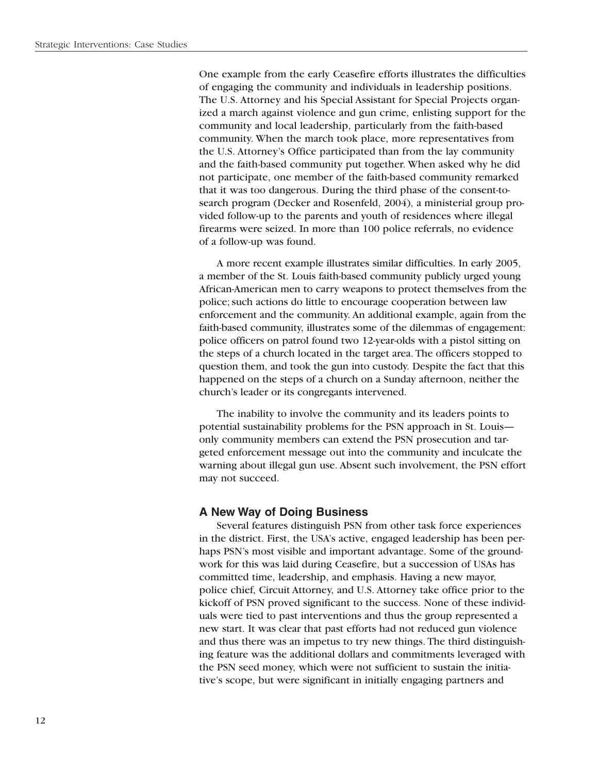One example from the early Ceasefire efforts illustrates the difficulties of engaging the community and individuals in leadership positions. The U.S. Attorney and his Special Assistant for Special Projects organized a march against violence and gun crime, enlisting support for the community and local leadership, particularly from the faith-based community. When the march took place, more representatives from the U.S. Attorney's Office participated than from the lay community and the faith-based community put together. When asked why he did not participate, one member of the faith-based community remarked that it was too dangerous. During the third phase of the consent-tosearch program (Decker and Rosenfeld, 2004), a ministerial group provided follow-up to the parents and youth of residences where illegal firearms were seized. In more than 100 police referrals, no evidence of a follow-up was found.

A more recent example illustrates similar difficulties. In early 2005, a member of the St. Louis faith-based community publicly urged young African-American men to carry weapons to protect themselves from the police; such actions do little to encourage cooperation between law enforcement and the community. An additional example, again from the faith-based community, illustrates some of the dilemmas of engagement: police officers on patrol found two 12-year-olds with a pistol sitting on the steps of a church located in the target area. The officers stopped to question them, and took the gun into custody. Despite the fact that this happened on the steps of a church on a Sunday afternoon, neither the church's leader or its congregants intervened.

The inability to involve the community and its leaders points to potential sustainability problems for the PSN approach in St. Louis only community members can extend the PSN prosecution and targeted enforcement message out into the community and inculcate the warning about illegal gun use. Absent such involvement, the PSN effort may not succeed.

### **A New Way of Doing Business**

Several features distinguish PSN from other task force experiences in the district. First, the USA's active, engaged leadership has been perhaps PSN's most visible and important advantage. Some of the groundwork for this was laid during Ceasefire, but a succession of USAs has committed time, leadership, and emphasis. Having a new mayor, police chief, Circuit Attorney, and U.S. Attorney take office prior to the kickoff of PSN proved significant to the success. None of these individuals were tied to past interventions and thus the group represented a new start. It was clear that past efforts had not reduced gun violence and thus there was an impetus to try new things. The third distinguishing feature was the additional dollars and commitments leveraged with the PSN seed money, which were not sufficient to sustain the initiative's scope, but were significant in initially engaging partners and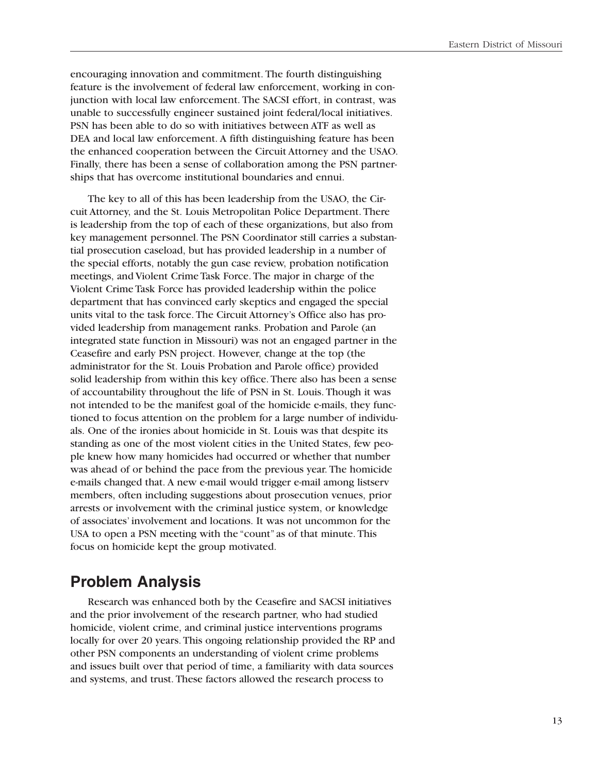encouraging innovation and commitment. The fourth distinguishing feature is the involvement of federal law enforcement, working in conjunction with local law enforcement. The SACSI effort, in contrast, was unable to successfully engineer sustained joint federal/local initiatives. PSN has been able to do so with initiatives between ATF as well as DEA and local law enforcement. A fifth distinguishing feature has been the enhanced cooperation between the Circuit Attorney and the USAO. Finally, there has been a sense of collaboration among the PSN partnerships that has overcome institutional boundaries and ennui.

The key to all of this has been leadership from the USAO, the Circuit Attorney, and the St. Louis Metropolitan Police Department. There is leadership from the top of each of these organizations, but also from key management personnel. The PSN Coordinator still carries a substantial prosecution caseload, but has provided leadership in a number of the special efforts, notably the gun case review, probation notification meetings, and Violent Crime Task Force. The major in charge of the Violent Crime Task Force has provided leadership within the police department that has convinced early skeptics and engaged the special units vital to the task force. The Circuit Attorney's Office also has provided leadership from management ranks. Probation and Parole (an integrated state function in Missouri) was not an engaged partner in the Ceasefire and early PSN project. However, change at the top (the administrator for the St. Louis Probation and Parole office) provided solid leadership from within this key office. There also has been a sense of accountability throughout the life of PSN in St. Louis. Though it was not intended to be the manifest goal of the homicide e-mails, they functioned to focus attention on the problem for a large number of individuals. One of the ironies about homicide in St. Louis was that despite its standing as one of the most violent cities in the United States, few people knew how many homicides had occurred or whether that number was ahead of or behind the pace from the previous year. The homicide e-mails changed that. A new e-mail would trigger e-mail among listserv members, often including suggestions about prosecution venues, prior arrests or involvement with the criminal justice system, or knowledge of associates' involvement and locations. It was not uncommon for the USA to open a PSN meeting with the "count" as of that minute. This focus on homicide kept the group motivated.

# **Problem Analysis**

Research was enhanced both by the Ceasefire and SACSI initiatives and the prior involvement of the research partner, who had studied homicide, violent crime, and criminal justice interventions programs locally for over 20 years. This ongoing relationship provided the RP and other PSN components an understanding of violent crime problems and issues built over that period of time, a familiarity with data sources and systems, and trust. These factors allowed the research process to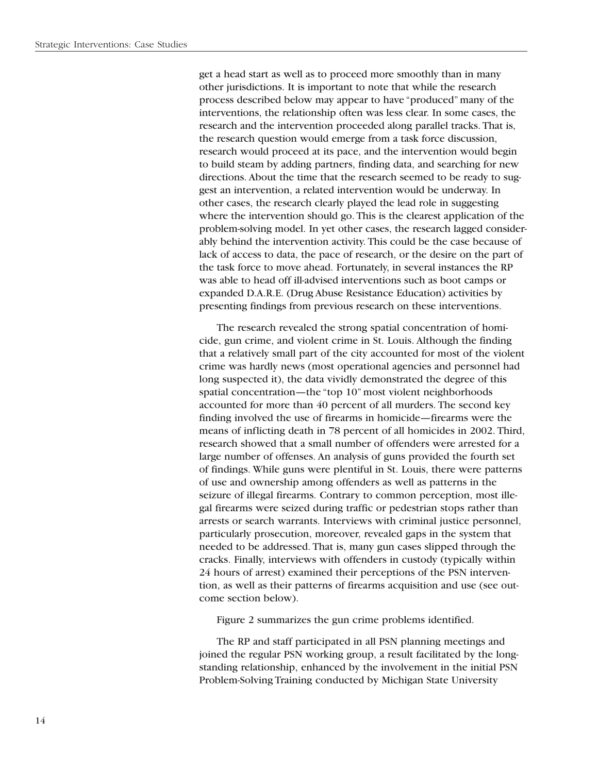get a head start as well as to proceed more smoothly than in many other jurisdictions. It is important to note that while the research process described below may appear to have "produced" many of the interventions, the relationship often was less clear. In some cases, the research and the intervention proceeded along parallel tracks. That is, the research question would emerge from a task force discussion, research would proceed at its pace, and the intervention would begin to build steam by adding partners, finding data, and searching for new directions. About the time that the research seemed to be ready to suggest an intervention, a related intervention would be underway. In other cases, the research clearly played the lead role in suggesting where the intervention should go. This is the clearest application of the problem-solving model. In yet other cases, the research lagged considerably behind the intervention activity. This could be the case because of lack of access to data, the pace of research, or the desire on the part of the task force to move ahead. Fortunately, in several instances the RP was able to head off ill-advised interventions such as boot camps or expanded D.A.R.E. (Drug Abuse Resistance Education) activities by presenting findings from previous research on these interventions.

The research revealed the strong spatial concentration of homicide, gun crime, and violent crime in St. Louis. Although the finding that a relatively small part of the city accounted for most of the violent crime was hardly news (most operational agencies and personnel had long suspected it), the data vividly demonstrated the degree of this spatial concentration—the "top 10" most violent neighborhoods accounted for more than 40 percent of all murders. The second key finding involved the use of firearms in homicide—firearms were the means of inflicting death in 78 percent of all homicides in 2002. Third, research showed that a small number of offenders were arrested for a large number of offenses. An analysis of guns provided the fourth set of findings. While guns were plentiful in St. Louis, there were patterns of use and ownership among offenders as well as patterns in the seizure of illegal firearms. Contrary to common perception, most illegal firearms were seized during traffic or pedestrian stops rather than arrests or search warrants. Interviews with criminal justice personnel, particularly prosecution, moreover, revealed gaps in the system that needed to be addressed. That is, many gun cases slipped through the cracks. Finally, interviews with offenders in custody (typically within 24 hours of arrest) examined their perceptions of the PSN intervention, as well as their patterns of firearms acquisition and use (see outcome section below).

Figure 2 summarizes the gun crime problems identified.

The RP and staff participated in all PSN planning meetings and joined the regular PSN working group, a result facilitated by the longstanding relationship, enhanced by the involvement in the initial PSN Problem-Solving Training conducted by Michigan State University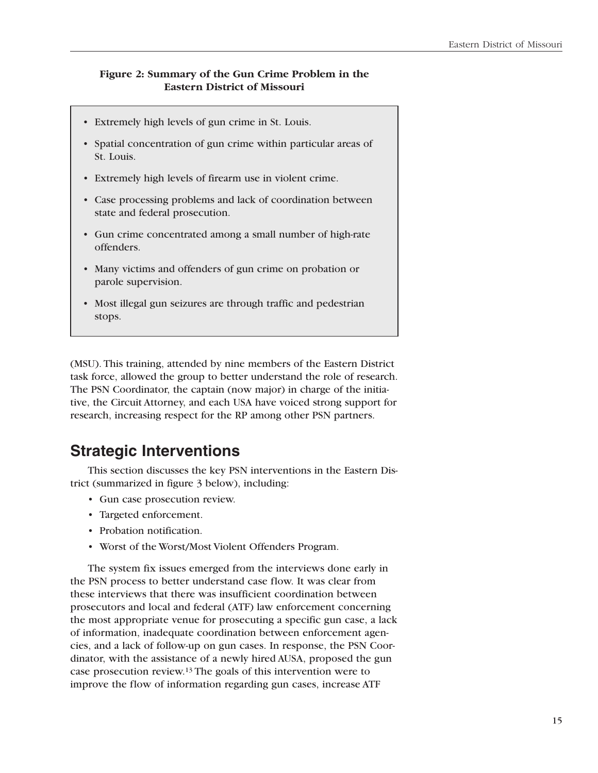### **Figure 2: Summary of the Gun Crime Problem in the Eastern District of Missouri**

- Extremely high levels of gun crime in St. Louis.
- • Spatial concentration of gun crime within particular areas of St. Louis.
- • Extremely high levels of firearm use in violent crime.
- Case processing problems and lack of coordination between state and federal prosecution.
- Gun crime concentrated among a small number of high-rate offenders.
- • Many victims and offenders of gun crime on probation or parole supervision.
- Most illegal gun seizures are through traffic and pedestrian stops.

(MSU). This training, attended by nine members of the Eastern District task force, allowed the group to better understand the role of research. The PSN Coordinator, the captain (now major) in charge of the initiative, the Circuit Attorney, and each USA have voiced strong support for research, increasing respect for the RP among other PSN partners.

### **Strategic Interventions**

This section discusses the key PSN interventions in the Eastern District (summarized in figure 3 below), including:

- • Gun case prosecution review.
- • Targeted enforcement.
- Probation notification.
- • Worst of the Worst/Most Violent Offenders Program.

The system fix issues emerged from the interviews done early in the PSN process to better understand case flow. It was clear from these interviews that there was insufficient coordination between prosecutors and local and federal (ATF) law enforcement concerning the most appropriate venue for prosecuting a specific gun case, a lack of information, inadequate coordination between enforcement agencies, and a lack of follow-up on gun cases. In response, the PSN Coordinator, with the assistance of a newly hired AUSA, proposed the gun case prosecution review.13 The goals of this intervention were to improve the flow of information regarding gun cases, increase ATF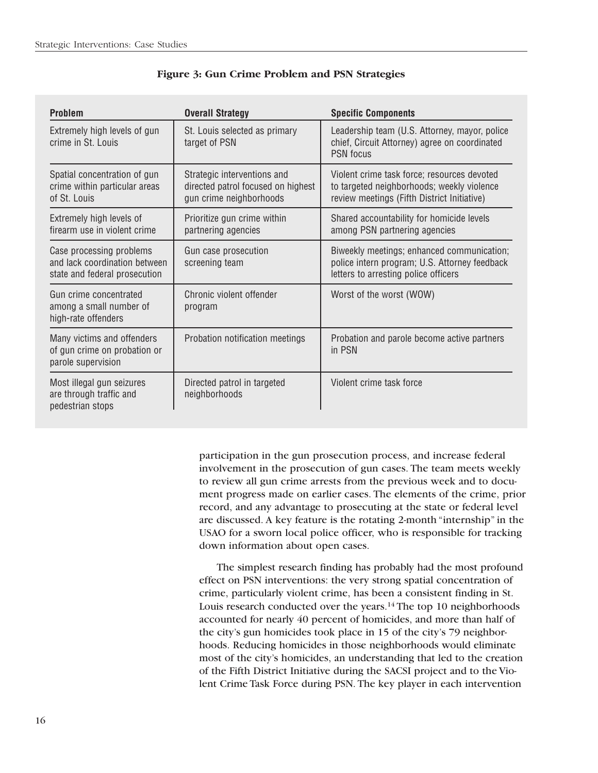| <b>Problem</b>                                                                             | <b>Overall Strategy</b>                                                                      | <b>Specific Components</b>                                                                                                               |
|--------------------------------------------------------------------------------------------|----------------------------------------------------------------------------------------------|------------------------------------------------------------------------------------------------------------------------------------------|
| Extremely high levels of gun<br>crime in St. Louis                                         | St. Louis selected as primary<br>target of PSN                                               | Leadership team (U.S. Attorney, mayor, police<br>chief, Circuit Attorney) agree on coordinated<br><b>PSN</b> focus                       |
| Spatial concentration of gun<br>crime within particular areas<br>of St. Louis              | Strategic interventions and<br>directed patrol focused on highest<br>gun crime neighborhoods | Violent crime task force; resources devoted<br>to targeted neighborhoods; weekly violence<br>review meetings (Fifth District Initiative) |
| Extremely high levels of<br>firearm use in violent crime                                   | Prioritize gun crime within<br>partnering agencies                                           | Shared accountability for homicide levels<br>among PSN partnering agencies                                                               |
| Case processing problems<br>and lack coordination between<br>state and federal prosecution | Gun case prosecution<br>screening team                                                       | Biweekly meetings; enhanced communication;<br>police intern program; U.S. Attorney feedback<br>letters to arresting police officers      |
| Gun crime concentrated<br>among a small number of<br>high-rate offenders                   | Chronic violent offender<br>program                                                          | Worst of the worst (WOW)                                                                                                                 |
| Many victims and offenders<br>of gun crime on probation or<br>parole supervision           | Probation notification meetings                                                              | Probation and parole become active partners<br>in PSN                                                                                    |
| Most illegal gun seizures<br>are through traffic and<br>pedestrian stops                   | Directed patrol in targeted<br>neighborhoods                                                 | Violent crime task force                                                                                                                 |

### **Figure 3: Gun Crime Problem and PSN Strategies**

participation in the gun prosecution process, and increase federal involvement in the prosecution of gun cases. The team meets weekly to review all gun crime arrests from the previous week and to document progress made on earlier cases. The elements of the crime, prior record, and any advantage to prosecuting at the state or federal level are discussed. A key feature is the rotating 2-month "internship" in the USAO for a sworn local police officer, who is responsible for tracking down information about open cases.

The simplest research finding has probably had the most profound effect on PSN interventions: the very strong spatial concentration of crime, particularly violent crime, has been a consistent finding in St. Louis research conducted over the years.14 The top 10 neighborhoods accounted for nearly 40 percent of homicides, and more than half of the city's gun homicides took place in 15 of the city's 79 neighborhoods. Reducing homicides in those neighborhoods would eliminate most of the city's homicides, an understanding that led to the creation of the Fifth District Initiative during the SACSI project and to the Violent Crime Task Force during PSN. The key player in each intervention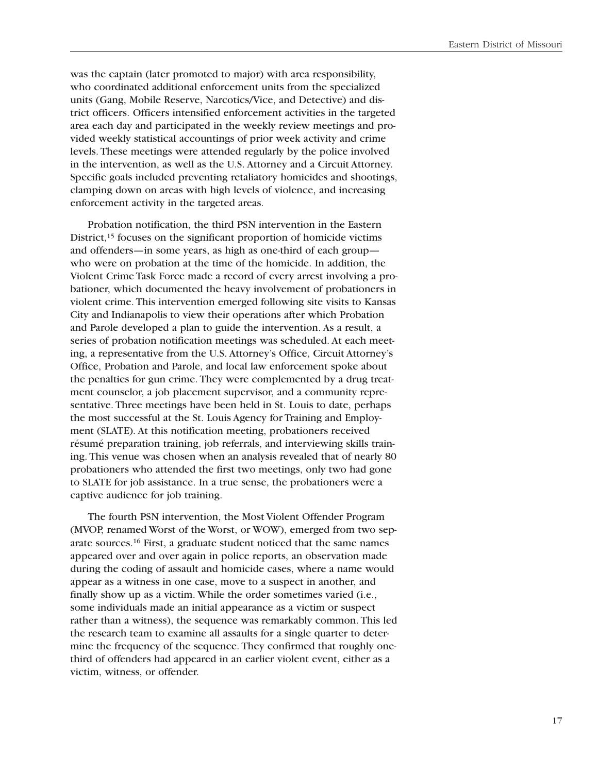was the captain (later promoted to major) with area responsibility, who coordinated additional enforcement units from the specialized units (Gang, Mobile Reserve, Narcotics/Vice, and Detective) and district officers. Officers intensified enforcement activities in the targeted area each day and participated in the weekly review meetings and provided weekly statistical accountings of prior week activity and crime levels. These meetings were attended regularly by the police involved in the intervention, as well as the U.S. Attorney and a Circuit Attorney. Specific goals included preventing retaliatory homicides and shootings, clamping down on areas with high levels of violence, and increasing enforcement activity in the targeted areas.

Probation notification, the third PSN intervention in the Eastern District,<sup>15</sup> focuses on the significant proportion of homicide victims and offenders—in some years, as high as one-third of each group who were on probation at the time of the homicide. In addition, the Violent Crime Task Force made a record of every arrest involving a probationer, which documented the heavy involvement of probationers in violent crime. This intervention emerged following site visits to Kansas City and Indianapolis to view their operations after which Probation and Parole developed a plan to guide the intervention. As a result, a series of probation notification meetings was scheduled. At each meeting, a representative from the U.S. Attorney's Office, Circuit Attorney's Office, Probation and Parole, and local law enforcement spoke about the penalties for gun crime. They were complemented by a drug treatment counselor, a job placement supervisor, and a community representative. Three meetings have been held in St. Louis to date, perhaps the most successful at the St. Louis Agency for Training and Employment (SLATE). At this notification meeting, probationers received résumé preparation training, job referrals, and interviewing skills training. This venue was chosen when an analysis revealed that of nearly 80 probationers who attended the first two meetings, only two had gone to SLATE for job assistance. In a true sense, the probationers were a captive audience for job training.

The fourth PSN intervention, the Most Violent Offender Program (MVOP, renamed Worst of the Worst, or WOW), emerged from two separate sources.16 First, a graduate student noticed that the same names appeared over and over again in police reports, an observation made during the coding of assault and homicide cases, where a name would appear as a witness in one case, move to a suspect in another, and finally show up as a victim. While the order sometimes varied (i.e., some individuals made an initial appearance as a victim or suspect rather than a witness), the sequence was remarkably common. This led the research team to examine all assaults for a single quarter to determine the frequency of the sequence. They confirmed that roughly onethird of offenders had appeared in an earlier violent event, either as a victim, witness, or offender.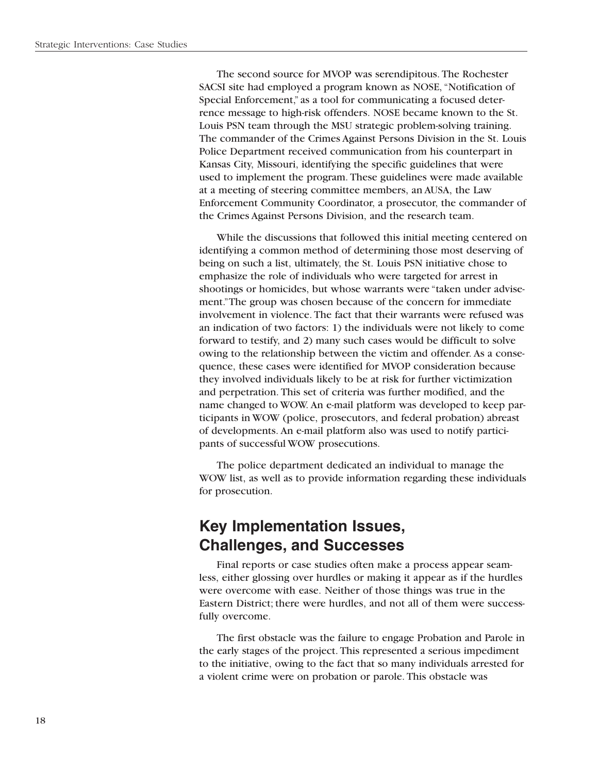The second source for MVOP was serendipitous. The Rochester SACSI site had employed a program known as NOSE, "Notification of Special Enforcement," as a tool for communicating a focused deterrence message to high-risk offenders. NOSE became known to the St. Louis PSN team through the MSU strategic problem-solving training. The commander of the Crimes Against Persons Division in the St. Louis Police Department received communication from his counterpart in Kansas City, Missouri, identifying the specific guidelines that were used to implement the program. These guidelines were made available at a meeting of steering committee members, an AUSA, the Law Enforcement Community Coordinator, a prosecutor, the commander of the Crimes Against Persons Division, and the research team.

While the discussions that followed this initial meeting centered on identifying a common method of determining those most deserving of being on such a list, ultimately, the St. Louis PSN initiative chose to emphasize the role of individuals who were targeted for arrest in shootings or homicides, but whose warrants were "taken under advisement."The group was chosen because of the concern for immediate involvement in violence. The fact that their warrants were refused was an indication of two factors: 1) the individuals were not likely to come forward to testify, and 2) many such cases would be difficult to solve owing to the relationship between the victim and offender. As a consequence, these cases were identified for MVOP consideration because they involved individuals likely to be at risk for further victimization and perpetration. This set of criteria was further modified, and the name changed to WOW. An e-mail platform was developed to keep participants in WOW (police, prosecutors, and federal probation) abreast of developments. An e-mail platform also was used to notify participants of successful WOW prosecutions.

The police department dedicated an individual to manage the WOW list, as well as to provide information regarding these individuals for prosecution.

### **Key Implementation Issues, Challenges, and Successes**

Final reports or case studies often make a process appear seamless, either glossing over hurdles or making it appear as if the hurdles were overcome with ease. Neither of those things was true in the Eastern District; there were hurdles, and not all of them were successfully overcome.

The first obstacle was the failure to engage Probation and Parole in the early stages of the project. This represented a serious impediment to the initiative, owing to the fact that so many individuals arrested for a violent crime were on probation or parole. This obstacle was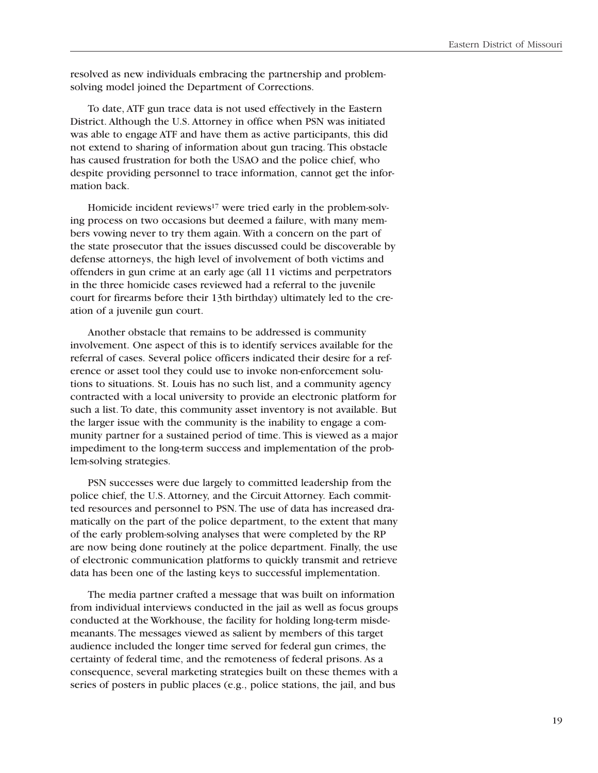resolved as new individuals embracing the partnership and problemsolving model joined the Department of Corrections.

To date, ATF gun trace data is not used effectively in the Eastern District. Although the U.S. Attorney in office when PSN was initiated was able to engage ATF and have them as active participants, this did not extend to sharing of information about gun tracing. This obstacle has caused frustration for both the USAO and the police chief, who despite providing personnel to trace information, cannot get the information back.

Homicide incident reviews<sup>17</sup> were tried early in the problem-solving process on two occasions but deemed a failure, with many members vowing never to try them again. With a concern on the part of the state prosecutor that the issues discussed could be discoverable by defense attorneys, the high level of involvement of both victims and offenders in gun crime at an early age (all 11 victims and perpetrators in the three homicide cases reviewed had a referral to the juvenile court for firearms before their 13th birthday) ultimately led to the creation of a juvenile gun court.

Another obstacle that remains to be addressed is community involvement. One aspect of this is to identify services available for the referral of cases. Several police officers indicated their desire for a reference or asset tool they could use to invoke non-enforcement solutions to situations. St. Louis has no such list, and a community agency contracted with a local university to provide an electronic platform for such a list. To date, this community asset inventory is not available. But the larger issue with the community is the inability to engage a community partner for a sustained period of time. This is viewed as a major impediment to the long-term success and implementation of the problem-solving strategies.

PSN successes were due largely to committed leadership from the police chief, the U.S. Attorney, and the Circuit Attorney. Each committed resources and personnel to PSN. The use of data has increased dramatically on the part of the police department, to the extent that many of the early problem-solving analyses that were completed by the RP are now being done routinely at the police department. Finally, the use of electronic communication platforms to quickly transmit and retrieve data has been one of the lasting keys to successful implementation.

The media partner crafted a message that was built on information from individual interviews conducted in the jail as well as focus groups conducted at the Workhouse, the facility for holding long-term misdemeanants. The messages viewed as salient by members of this target audience included the longer time served for federal gun crimes, the certainty of federal time, and the remoteness of federal prisons. As a consequence, several marketing strategies built on these themes with a series of posters in public places (e.g., police stations, the jail, and bus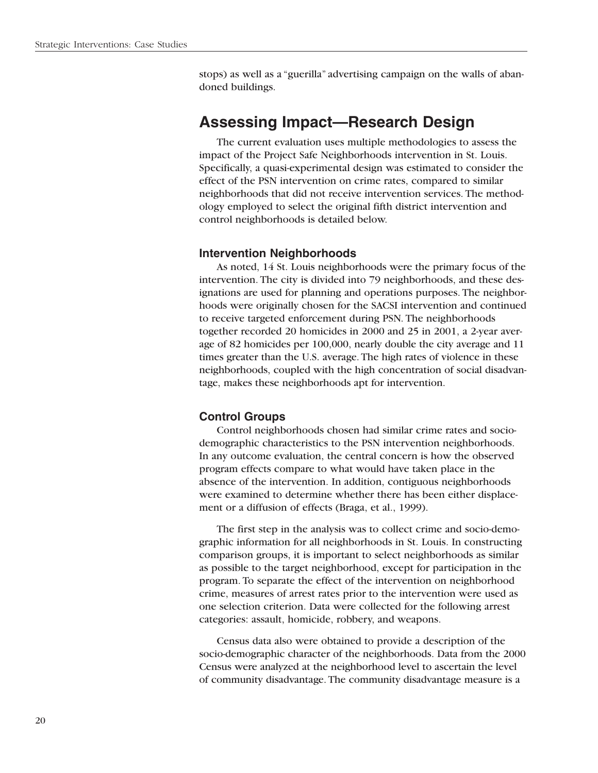stops) as well as a "guerilla" advertising campaign on the walls of abandoned buildings.

### **Assessing Impact—Research Design**

The current evaluation uses multiple methodologies to assess the impact of the Project Safe Neighborhoods intervention in St. Louis. Specifically, a quasi-experimental design was estimated to consider the effect of the PSN intervention on crime rates, compared to similar neighborhoods that did not receive intervention services. The methodology employed to select the original fifth district intervention and control neighborhoods is detailed below.

### **Intervention Neighborhoods**

As noted, 14 St. Louis neighborhoods were the primary focus of the intervention. The city is divided into 79 neighborhoods, and these designations are used for planning and operations purposes. The neighborhoods were originally chosen for the SACSI intervention and continued to receive targeted enforcement during PSN. The neighborhoods together recorded 20 homicides in 2000 and 25 in 2001, a 2-year average of 82 homicides per 100,000, nearly double the city average and 11 times greater than the U.S. average. The high rates of violence in these neighborhoods, coupled with the high concentration of social disadvantage, makes these neighborhoods apt for intervention.

### **Control Groups**

Control neighborhoods chosen had similar crime rates and sociodemographic characteristics to the PSN intervention neighborhoods. In any outcome evaluation, the central concern is how the observed program effects compare to what would have taken place in the absence of the intervention. In addition, contiguous neighborhoods were examined to determine whether there has been either displacement or a diffusion of effects (Braga, et al., 1999).

The first step in the analysis was to collect crime and socio-demographic information for all neighborhoods in St. Louis. In constructing comparison groups, it is important to select neighborhoods as similar as possible to the target neighborhood, except for participation in the program. To separate the effect of the intervention on neighborhood crime, measures of arrest rates prior to the intervention were used as one selection criterion. Data were collected for the following arrest categories: assault, homicide, robbery, and weapons.

Census data also were obtained to provide a description of the socio-demographic character of the neighborhoods. Data from the 2000 Census were analyzed at the neighborhood level to ascertain the level of community disadvantage. The community disadvantage measure is a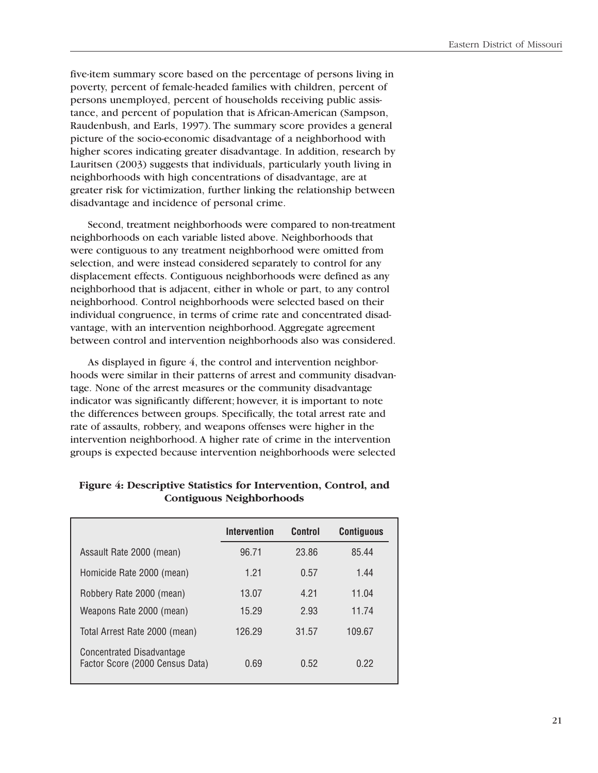five-item summary score based on the percentage of persons living in poverty, percent of female-headed families with children, percent of persons unemployed, percent of households receiving public assistance, and percent of population that is African-American (Sampson, Raudenbush, and Earls, 1997). The summary score provides a general picture of the socio-economic disadvantage of a neighborhood with higher scores indicating greater disadvantage. In addition, research by Lauritsen (2003) suggests that individuals, particularly youth living in neighborhoods with high concentrations of disadvantage, are at greater risk for victimization, further linking the relationship between disadvantage and incidence of personal crime.

Second, treatment neighborhoods were compared to non-treatment neighborhoods on each variable listed above. Neighborhoods that were contiguous to any treatment neighborhood were omitted from selection, and were instead considered separately to control for any displacement effects. Contiguous neighborhoods were defined as any neighborhood that is adjacent, either in whole or part, to any control neighborhood. Control neighborhoods were selected based on their individual congruence, in terms of crime rate and concentrated disadvantage, with an intervention neighborhood. Aggregate agreement between control and intervention neighborhoods also was considered.

As displayed in figure 4, the control and intervention neighborhoods were similar in their patterns of arrest and community disadvantage. None of the arrest measures or the community disadvantage indicator was significantly different; however, it is important to note the differences between groups. Specifically, the total arrest rate and rate of assaults, robbery, and weapons offenses were higher in the intervention neighborhood. A higher rate of crime in the intervention groups is expected because intervention neighborhoods were selected

|                                                              | <b>Intervention</b> | <b>Control</b> | <b>Contiguous</b> |
|--------------------------------------------------------------|---------------------|----------------|-------------------|
| Assault Rate 2000 (mean)                                     | 96.71               | 23.86          | 85.44             |
| Homicide Rate 2000 (mean)                                    | 1.21                | 0.57           | 1.44              |
| Robbery Rate 2000 (mean)                                     | 13.07               | 4.21           | 11.04             |
| Weapons Rate 2000 (mean)                                     | 15.29               | 2.93           | 11.74             |
| Total Arrest Rate 2000 (mean)                                | 126.29              | 31.57          | 109.67            |
| Concentrated Disadvantage<br>Factor Score (2000 Census Data) | 0.69                | 0.52           | 0.22              |

### **Figure 4: Descriptive Statistics for Intervention, Control, and Contiguous Neighborhoods**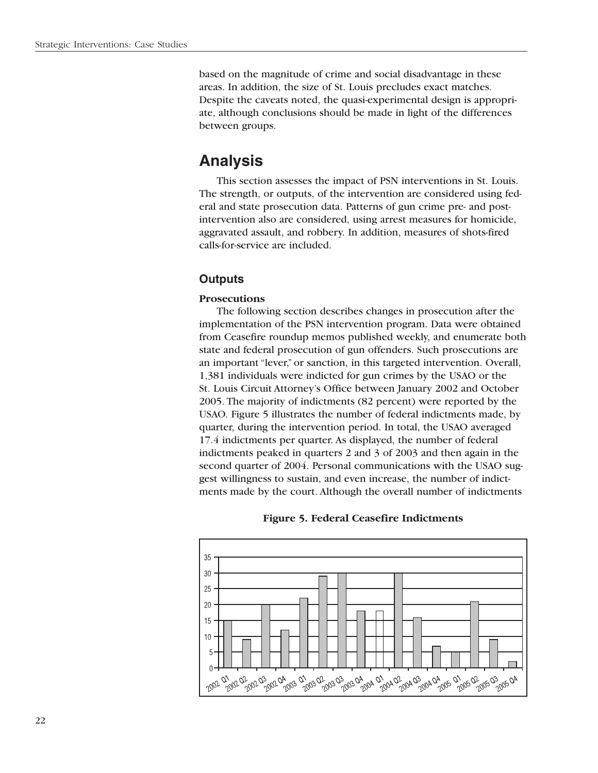based on the magnitude of crime and social disadvantage in these areas. In addition, the size of St. Louis precludes exact matches. Despite the caveats noted, the quasi-experimental design is appropriate, although conclusions should be made in light of the differences between groups.

### **Analysis**

This section assesses the impact of PSN interventions in St. Louis. The strength, or outputs, of the intervention are considered using federal and state prosecution data. Patterns of gun crime pre- and postintervention also are considered, using arrest measures for homicide, aggravated assault, and robbery. In addition, measures of shots-fired calls-for-service are included.

### **Outputs**

### **Prosecutions**

The following section describes changes in prosecution after the implementation of the PSN intervention program. Data were obtained from Ceasefire roundup memos published weekly, and enumerate both state and federal prosecution of gun offenders. Such prosecutions are an important "lever," or sanction, in this targeted intervention. Overall, 1,381 individuals were indicted for gun crimes by the USAO or the St. Louis Circuit Attorney's Office between January 2002 and October 2005. The majority of indictments (82 percent) were reported by the USAO. Figure 5 illustrates the number of federal indictments made, by quarter, during the intervention period. In total, the USAO averaged 17.4 indictments per quarter. As displayed, the number of federal indictments peaked in quarters 2 and 3 of 2003 and then again in the second quarter of 2004. Personal communications with the USAO suggest willingness to sustain, and even increase, the number of indictments made by the court. Although the overall number of indictments



### **Figure 5. Federal Ceasefire Indictments**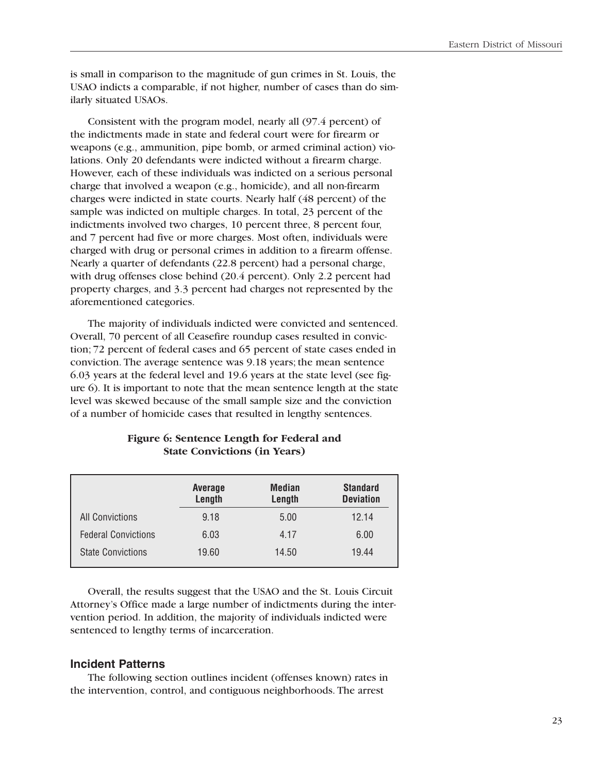is small in comparison to the magnitude of gun crimes in St. Louis, the USAO indicts a comparable, if not higher, number of cases than do similarly situated USAOs.

Consistent with the program model, nearly all (97.4 percent) of the indictments made in state and federal court were for firearm or weapons (e.g., ammunition, pipe bomb, or armed criminal action) violations. Only 20 defendants were indicted without a firearm charge. However, each of these individuals was indicted on a serious personal charge that involved a weapon (e.g., homicide), and all non-firearm charges were indicted in state courts. Nearly half (48 percent) of the sample was indicted on multiple charges. In total, 23 percent of the indictments involved two charges, 10 percent three, 8 percent four, and 7 percent had five or more charges. Most often, individuals were charged with drug or personal crimes in addition to a firearm offense. Nearly a quarter of defendants (22.8 percent) had a personal charge, with drug offenses close behind (20.4 percent). Only 2.2 percent had property charges, and 3.3 percent had charges not represented by the aforementioned categories.

The majority of individuals indicted were convicted and sentenced. Overall, 70 percent of all Ceasefire roundup cases resulted in conviction; 72 percent of federal cases and 65 percent of state cases ended in conviction. The average sentence was 9.18 years; the mean sentence 6.03 years at the federal level and 19.6 years at the state level (see figure 6). It is important to note that the mean sentence length at the state level was skewed because of the small sample size and the conviction of a number of homicide cases that resulted in lengthy sentences.

### **Figure 6: Sentence Length for Federal and State Convictions (in Years)**

|                            | Average<br>Length | Median<br>Length | <b>Standard</b><br><b>Deviation</b> |
|----------------------------|-------------------|------------------|-------------------------------------|
| <b>All Convictions</b>     | 9.18              | 5.00             | 12.14                               |
| <b>Federal Convictions</b> | 6.03              | 4.17             | 6.00                                |
| <b>State Convictions</b>   | 19.60             | 14.50            | 19.44                               |

Overall, the results suggest that the USAO and the St. Louis Circuit Attorney's Office made a large number of indictments during the intervention period. In addition, the majority of individuals indicted were sentenced to lengthy terms of incarceration.

### **Incident Patterns**

The following section outlines incident (offenses known) rates in the intervention, control, and contiguous neighborhoods. The arrest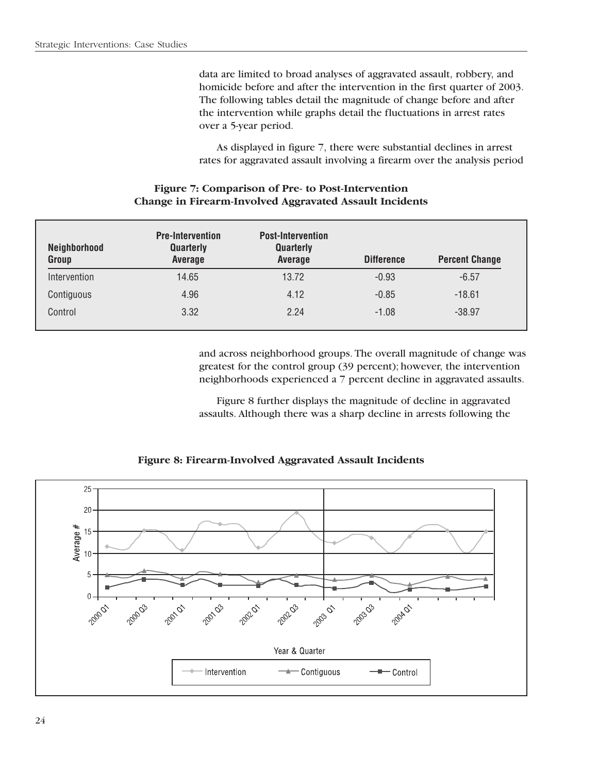data are limited to broad analyses of aggravated assault, robbery, and homicide before and after the intervention in the first quarter of 2003. The following tables detail the magnitude of change before and after the intervention while graphs detail the fluctuations in arrest rates over a 5-year period.

As displayed in figure 7, there were substantial declines in arrest rates for aggravated assault involving a firearm over the analysis period

### **Figure 7: Comparison of Pre- to Post-Intervention Change in Firearm-Involved Aggravated Assault Incidents**

| Neighborhood<br>Group | <b>Pre-Intervention</b><br><b>Quarterly</b><br>Average | <b>Post-Intervention</b><br><b>Quarterly</b><br>Average | <b>Difference</b> | <b>Percent Change</b> |
|-----------------------|--------------------------------------------------------|---------------------------------------------------------|-------------------|-----------------------|
| Intervention          | 14.65                                                  | 13.72                                                   | $-0.93$           | $-6.57$               |
| Contiguous            | 4.96                                                   | 4.12                                                    | $-0.85$           | $-18.61$              |
| Control               | 3.32                                                   | 2.24                                                    | $-1.08$           | $-38.97$              |

and across neighborhood groups. The overall magnitude of change was greatest for the control group (39 percent); however, the intervention neighborhoods experienced a 7 percent decline in aggravated assaults.

Figure 8 further displays the magnitude of decline in aggravated assaults. Although there was a sharp decline in arrests following the

### **Figure 8: Firearm-Involved Aggravated Assault Incidents**

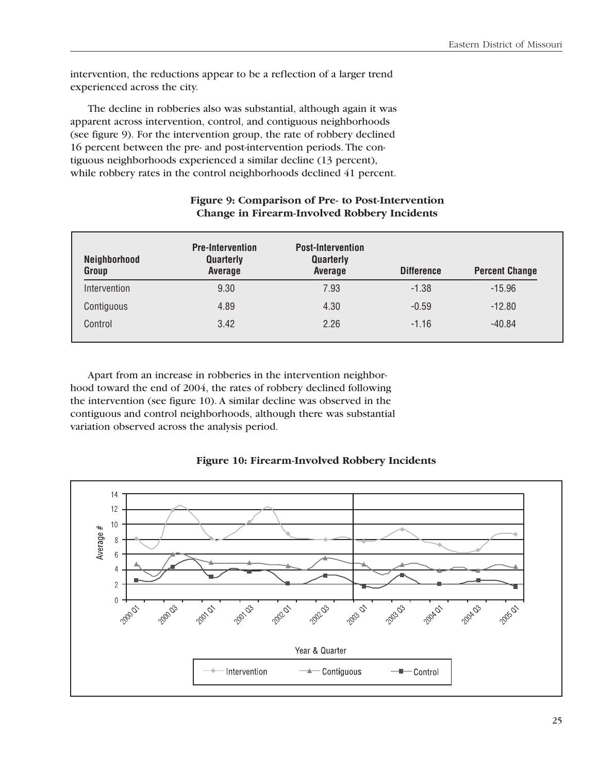intervention, the reductions appear to be a reflection of a larger trend experienced across the city.

The decline in robberies also was substantial, although again it was apparent across intervention, control, and contiguous neighborhoods (see figure 9). For the intervention group, the rate of robbery declined 16 percent between the pre- and post-intervention periods. The contiguous neighborhoods experienced a similar decline (13 percent), while robbery rates in the control neighborhoods declined 41 percent.

| Neighborhood<br>Group | <b>Pre-Intervention</b><br>Quarterly<br>Average | <b>Post-Intervention</b><br>Quarterly<br>Average | <b>Difference</b> | <b>Percent Change</b> |
|-----------------------|-------------------------------------------------|--------------------------------------------------|-------------------|-----------------------|
| Intervention          | 9.30                                            | 7.93                                             | $-1.38$           | $-15.96$              |
| Contiguous            | 4.89                                            | 4.30                                             | $-0.59$           | $-12.80$              |
| Control               | 3.42                                            | 2.26                                             | $-1.16$           | $-40.84$              |

### **Figure 9: Comparison of Pre- to Post-Intervention Change in Firearm-Involved Robbery Incidents**

Apart from an increase in robberies in the intervention neighborhood toward the end of 2004, the rates of robbery declined following the intervention (see figure 10). A similar decline was observed in the contiguous and control neighborhoods, although there was substantial variation observed across the analysis period.

### **Figure 10: Firearm-Involved Robbery Incidents**

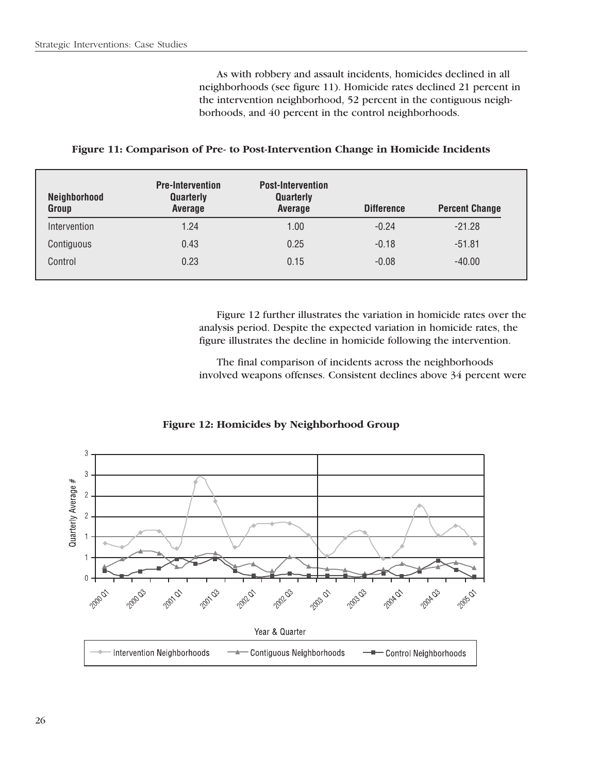As with robbery and assault incidents, homicides declined in all neighborhoods (see figure 11). Homicide rates declined 21 percent in the intervention neighborhood, 52 percent in the contiguous neighborhoods, and 40 percent in the control neighborhoods.

| Neighborhood<br>Group | <b>Pre-Intervention</b><br>Quarterly<br>Average | <b>Post-Intervention</b><br><b>Quarterly</b><br>Average | <b>Difference</b> | <b>Percent Change</b> |
|-----------------------|-------------------------------------------------|---------------------------------------------------------|-------------------|-----------------------|
| Intervention          | 1.24                                            | 1.00                                                    | $-0.24$           | $-21.28$              |
| Contiguous            | 0.43                                            | 0.25                                                    | $-0.18$           | $-51.81$              |
| Control               | 0.23                                            | 0.15                                                    | $-0.08$           | $-40.00$              |

#### **Figure 11: Comparison of Pre- to Post-Intervention Change in Homicide Incidents**

Figure 12 further illustrates the variation in homicide rates over the analysis period. Despite the expected variation in homicide rates, the figure illustrates the decline in homicide following the intervention.

The final comparison of incidents across the neighborhoods involved weapons offenses. Consistent declines above 34 percent were



**Figure 12: Homicides by Neighborhood Group**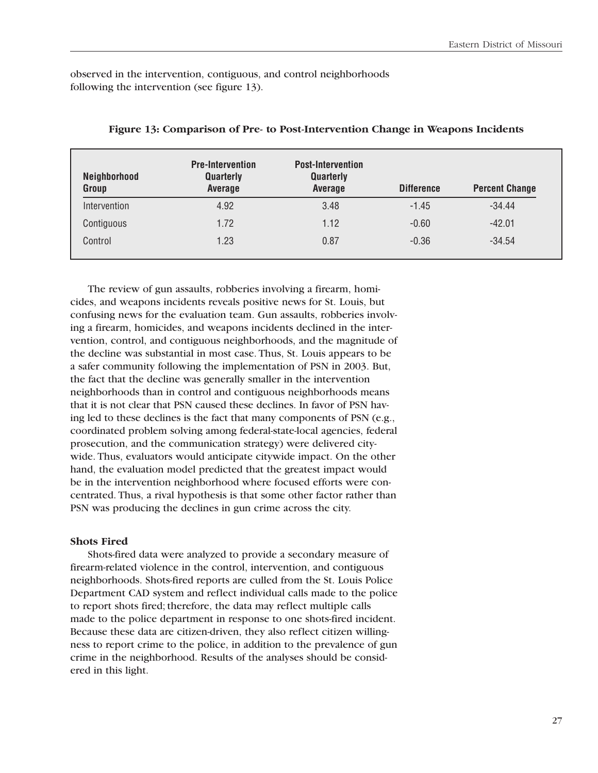observed in the intervention, contiguous, and control neighborhoods following the intervention (see figure 13).

| Neighborhood<br>Group | <b>Pre-Intervention</b><br>Quarterly<br>Average | <b>Post-Intervention</b><br>Quarterly<br>Average | <b>Difference</b> | <b>Percent Change</b> |
|-----------------------|-------------------------------------------------|--------------------------------------------------|-------------------|-----------------------|
| Intervention          | 4.92                                            | 3.48                                             | $-1.45$           | $-34.44$              |
| Contiguous            | 1.72                                            | 1.12                                             | $-0.60$           | $-42.01$              |
| Control               | 1.23                                            | 0.87                                             | $-0.36$           | $-34.54$              |

### **Figure 13: Comparison of Pre- to Post-Intervention Change in Weapons Incidents**

The review of gun assaults, robberies involving a firearm, homicides, and weapons incidents reveals positive news for St. Louis, but confusing news for the evaluation team. Gun assaults, robberies involving a firearm, homicides, and weapons incidents declined in the intervention, control, and contiguous neighborhoods, and the magnitude of the decline was substantial in most case. Thus, St. Louis appears to be a safer community following the implementation of PSN in 2003. But, the fact that the decline was generally smaller in the intervention neighborhoods than in control and contiguous neighborhoods means that it is not clear that PSN caused these declines. In favor of PSN having led to these declines is the fact that many components of PSN (e.g., coordinated problem solving among federal-state-local agencies, federal prosecution, and the communication strategy) were delivered citywide. Thus, evaluators would anticipate citywide impact. On the other hand, the evaluation model predicted that the greatest impact would be in the intervention neighborhood where focused efforts were concentrated. Thus, a rival hypothesis is that some other factor rather than PSN was producing the declines in gun crime across the city.

### **Shots Fired**

Shots-fired data were analyzed to provide a secondary measure of firearm-related violence in the control, intervention, and contiguous neighborhoods. Shots-fired reports are culled from the St. Louis Police Department CAD system and reflect individual calls made to the police to report shots fired; therefore, the data may reflect multiple calls made to the police department in response to one shots-fired incident. Because these data are citizen-driven, they also reflect citizen willingness to report crime to the police, in addition to the prevalence of gun crime in the neighborhood. Results of the analyses should be considered in this light.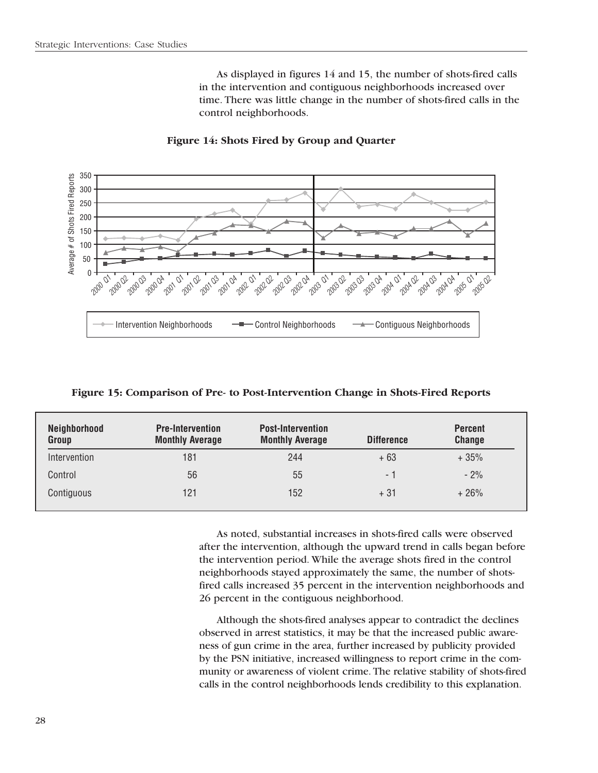As displayed in figures 14 and 15, the number of shots-fired calls in the intervention and contiguous neighborhoods increased over time. There was little change in the number of shots-fired calls in the control neighborhoods.



**Figure 14: Shots Fired by Group and Quarter** 

**Figure 15: Comparison of Pre- to Post-Intervention Change in Shots-Fired Reports** 

| Neighborhood<br>Group | <b>Pre-Intervention</b><br><b>Monthly Average</b> | <b>Post-Intervention</b><br><b>Monthly Average</b> | <b>Difference</b> | <b>Percent</b><br><b>Change</b> |
|-----------------------|---------------------------------------------------|----------------------------------------------------|-------------------|---------------------------------|
| Intervention          | 181                                               | 244                                                | $+63$             | $+35%$                          |
| Control               | 56                                                | 55                                                 | - 1               | $-2%$                           |
| Contiguous            | 121                                               | 152                                                | $+31$             | $+26%$                          |

As noted, substantial increases in shots-fired calls were observed after the intervention, although the upward trend in calls began before the intervention period. While the average shots fired in the control neighborhoods stayed approximately the same, the number of shotsfired calls increased 35 percent in the intervention neighborhoods and 26 percent in the contiguous neighborhood.

Although the shots-fired analyses appear to contradict the declines observed in arrest statistics, it may be that the increased public awareness of gun crime in the area, further increased by publicity provided by the PSN initiative, increased willingness to report crime in the community or awareness of violent crime. The relative stability of shots-fired calls in the control neighborhoods lends credibility to this explanation.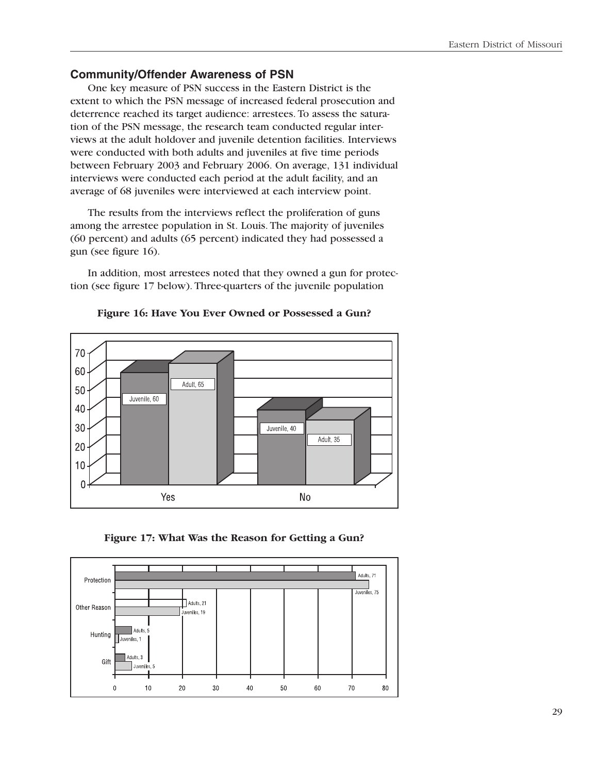### **Community/Offender Awareness of PSN**

One key measure of PSN success in the Eastern District is the extent to which the PSN message of increased federal prosecution and deterrence reached its target audience: arrestees. To assess the saturation of the PSN message, the research team conducted regular interviews at the adult holdover and juvenile detention facilities. Interviews were conducted with both adults and juveniles at five time periods between February 2003 and February 2006. On average, 131 individual interviews were conducted each period at the adult facility, and an average of 68 juveniles were interviewed at each interview point.

The results from the interviews reflect the proliferation of guns among the arrestee population in St. Louis. The majority of juveniles (60 percent) and adults (65 percent) indicated they had possessed a gun (see figure 16).

In addition, most arrestees noted that they owned a gun for protection (see figure 17 below). Three-quarters of the juvenile population



**Figure 16: Have You Ever Owned or Possessed a Gun?** 

**Figure 17: What Was the Reason for Getting a Gun?** 

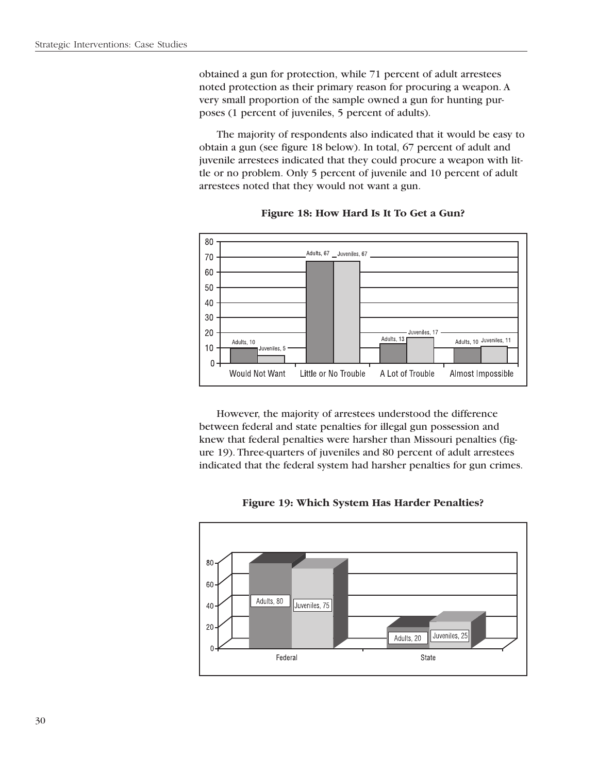obtained a gun for protection, while 71 percent of adult arrestees noted protection as their primary reason for procuring a weapon. A very small proportion of the sample owned a gun for hunting purposes (1 percent of juveniles, 5 percent of adults).

The majority of respondents also indicated that it would be easy to obtain a gun (see figure 18 below). In total, 67 percent of adult and juvenile arrestees indicated that they could procure a weapon with little or no problem. Only 5 percent of juvenile and 10 percent of adult arrestees noted that they would not want a gun.



**Figure 18: How Hard Is It To Get a Gun?** 

However, the majority of arrestees understood the difference between federal and state penalties for illegal gun possession and knew that federal penalties were harsher than Missouri penalties (figure 19). Three-quarters of juveniles and 80 percent of adult arrestees indicated that the federal system had harsher penalties for gun crimes.



**Figure 19: Which System Has Harder Penalties?**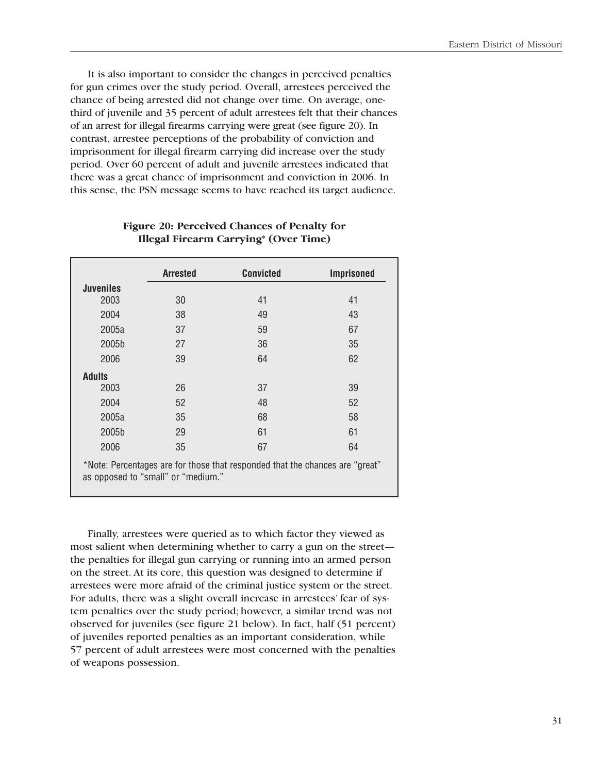It is also important to consider the changes in perceived penalties for gun crimes over the study period. Overall, arrestees perceived the chance of being arrested did not change over time. On average, onethird of juvenile and 35 percent of adult arrestees felt that their chances of an arrest for illegal firearms carrying were great (see figure 20). In contrast, arrestee perceptions of the probability of conviction and imprisonment for illegal firearm carrying did increase over the study period. Over 60 percent of adult and juvenile arrestees indicated that there was a great chance of imprisonment and conviction in 2006. In this sense, the PSN message seems to have reached its target audience.

|                  | <b>Arrested</b>                    | <b>Convicted</b>                                                             | <b>Imprisoned</b> |
|------------------|------------------------------------|------------------------------------------------------------------------------|-------------------|
| <b>Juveniles</b> |                                    |                                                                              |                   |
| 2003             | 30                                 | 41                                                                           | 41                |
| 2004             | 38                                 | 49                                                                           | 43                |
| 2005a            | 37                                 | 59                                                                           | 67                |
| 2005b            | 27                                 | 36                                                                           | 35                |
| 2006             | 39                                 | 64                                                                           | 62                |
| <b>Adults</b>    |                                    |                                                                              |                   |
| 2003             | 26                                 | 37                                                                           | 39                |
| 2004             | 52                                 | 48                                                                           | 52                |
| 2005a            | 35                                 | 68                                                                           | 58                |
| 2005b            | 29                                 | 61                                                                           | 61                |
| 2006             | 35                                 | 67                                                                           | 64                |
|                  | as opposed to "small" or "medium." | *Note: Percentages are for those that responded that the chances are "great" |                   |

### **Figure 20: Perceived Chances of Penalty for Illegal Firearm Carrying\* (Over Time)**

Finally, arrestees were queried as to which factor they viewed as most salient when determining whether to carry a gun on the street the penalties for illegal gun carrying or running into an armed person on the street. At its core, this question was designed to determine if arrestees were more afraid of the criminal justice system or the street. For adults, there was a slight overall increase in arrestees' fear of system penalties over the study period; however, a similar trend was not observed for juveniles (see figure 21 below). In fact, half (51 percent) of juveniles reported penalties as an important consideration, while 57 percent of adult arrestees were most concerned with the penalties of weapons possession.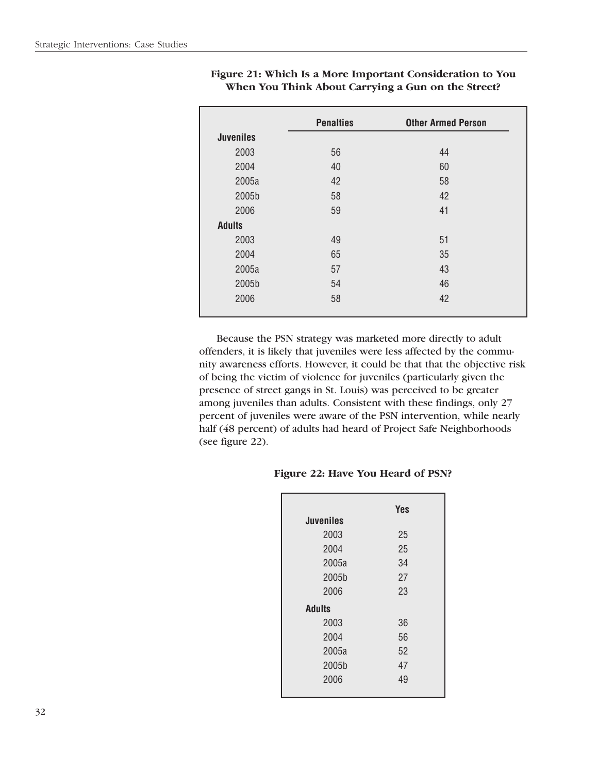|                  | <b>Penalties</b> | <b>Other Armed Person</b> |
|------------------|------------------|---------------------------|
| <b>Juveniles</b> |                  |                           |
| 2003             | 56               | 44                        |
| 2004             | 40               | 60                        |
| 2005a            | 42               | 58                        |
| 2005b            | 58               | 42                        |
| 2006             | 59               | 41                        |
| <b>Adults</b>    |                  |                           |
| 2003             | 49               | 51                        |
| 2004             | 65               | 35                        |
| 2005a            | 57               | 43                        |
| 2005b            | 54               | 46                        |
| 2006             | 58               | 42                        |

### **Figure 21: Which Is a More Important Consideration to You When You Think About Carrying a Gun on the Street?**

Because the PSN strategy was marketed more directly to adult offenders, it is likely that juveniles were less affected by the community awareness efforts. However, it could be that that the objective risk of being the victim of violence for juveniles (particularly given the presence of street gangs in St. Louis) was perceived to be greater among juveniles than adults. Consistent with these findings, only 27 percent of juveniles were aware of the PSN intervention, while nearly half (48 percent) of adults had heard of Project Safe Neighborhoods (see figure 22).

### **Figure 22: Have You Heard of PSN?**

| <b>Juveniles</b> | <b>Yes</b> |
|------------------|------------|
|                  |            |
| 2003             | 25         |
| 2004             | 25         |
| 2005a            | 34         |
| 2005b            | 27         |
| 2006             | 23         |
| <b>Adults</b>    |            |
| 2003             | 36         |
| 2004             | 56         |
| 2005a            | 52         |
| 2005b            | 47         |
| 2006             | 49         |
|                  |            |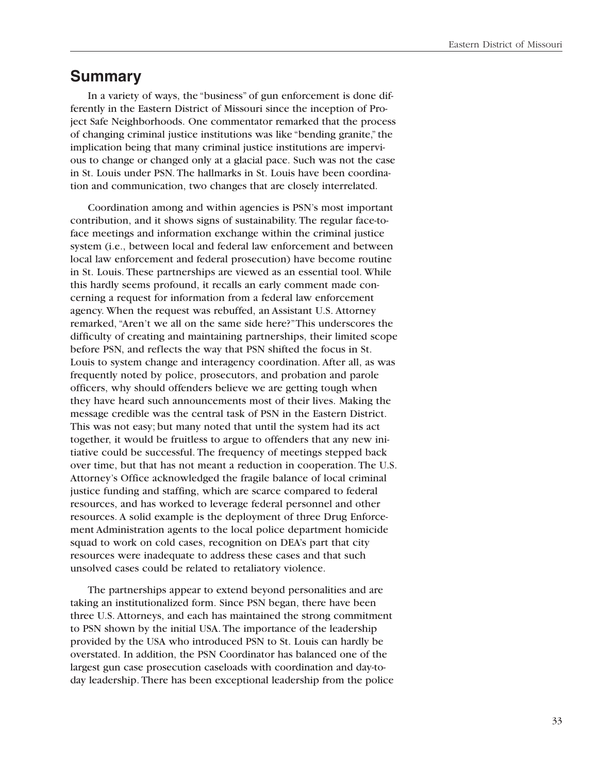### **Summary**

In a variety of ways, the "business" of gun enforcement is done differently in the Eastern District of Missouri since the inception of Project Safe Neighborhoods. One commentator remarked that the process of changing criminal justice institutions was like "bending granite," the implication being that many criminal justice institutions are impervious to change or changed only at a glacial pace. Such was not the case in St. Louis under PSN. The hallmarks in St. Louis have been coordination and communication, two changes that are closely interrelated.

Coordination among and within agencies is PSN's most important contribution, and it shows signs of sustainability. The regular face-toface meetings and information exchange within the criminal justice system (i.e., between local and federal law enforcement and between local law enforcement and federal prosecution) have become routine in St. Louis. These partnerships are viewed as an essential tool. While this hardly seems profound, it recalls an early comment made concerning a request for information from a federal law enforcement agency. When the request was rebuffed, an Assistant U.S. Attorney remarked, "Aren't we all on the same side here?"This underscores the difficulty of creating and maintaining partnerships, their limited scope before PSN, and reflects the way that PSN shifted the focus in St. Louis to system change and interagency coordination. After all, as was frequently noted by police, prosecutors, and probation and parole officers, why should offenders believe we are getting tough when they have heard such announcements most of their lives. Making the message credible was the central task of PSN in the Eastern District. This was not easy; but many noted that until the system had its act together, it would be fruitless to argue to offenders that any new initiative could be successful. The frequency of meetings stepped back over time, but that has not meant a reduction in cooperation. The U.S. Attorney's Office acknowledged the fragile balance of local criminal justice funding and staffing, which are scarce compared to federal resources, and has worked to leverage federal personnel and other resources. A solid example is the deployment of three Drug Enforcement Administration agents to the local police department homicide squad to work on cold cases, recognition on DEA's part that city resources were inadequate to address these cases and that such unsolved cases could be related to retaliatory violence.

The partnerships appear to extend beyond personalities and are taking an institutionalized form. Since PSN began, there have been three U.S. Attorneys, and each has maintained the strong commitment to PSN shown by the initial USA. The importance of the leadership provided by the USA who introduced PSN to St. Louis can hardly be overstated. In addition, the PSN Coordinator has balanced one of the largest gun case prosecution caseloads with coordination and day-today leadership. There has been exceptional leadership from the police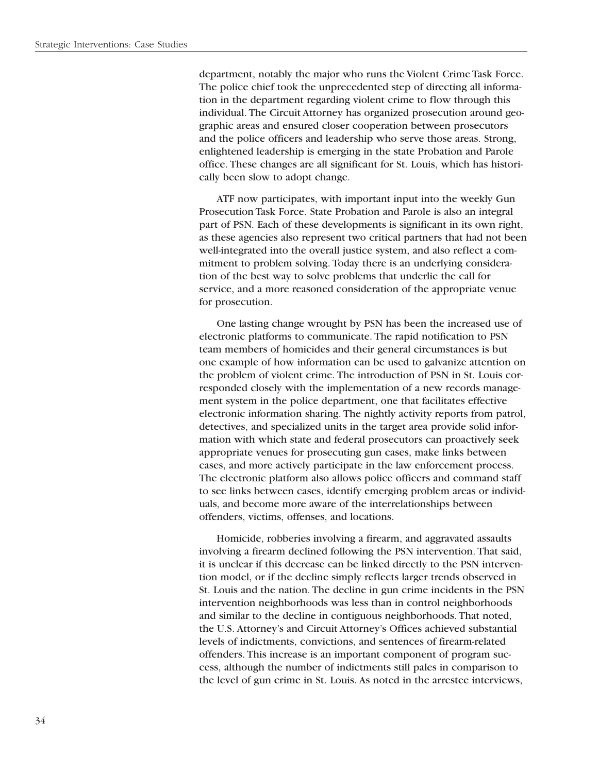department, notably the major who runs the Violent Crime Task Force. The police chief took the unprecedented step of directing all information in the department regarding violent crime to flow through this individual. The Circuit Attorney has organized prosecution around geographic areas and ensured closer cooperation between prosecutors and the police officers and leadership who serve those areas. Strong, enlightened leadership is emerging in the state Probation and Parole office. These changes are all significant for St. Louis, which has historically been slow to adopt change.

ATF now participates, with important input into the weekly Gun Prosecution Task Force. State Probation and Parole is also an integral part of PSN. Each of these developments is significant in its own right, as these agencies also represent two critical partners that had not been well-integrated into the overall justice system, and also reflect a commitment to problem solving. Today there is an underlying consideration of the best way to solve problems that underlie the call for service, and a more reasoned consideration of the appropriate venue for prosecution.

One lasting change wrought by PSN has been the increased use of electronic platforms to communicate. The rapid notification to PSN team members of homicides and their general circumstances is but one example of how information can be used to galvanize attention on the problem of violent crime. The introduction of PSN in St. Louis corresponded closely with the implementation of a new records management system in the police department, one that facilitates effective electronic information sharing. The nightly activity reports from patrol, detectives, and specialized units in the target area provide solid information with which state and federal prosecutors can proactively seek appropriate venues for prosecuting gun cases, make links between cases, and more actively participate in the law enforcement process. The electronic platform also allows police officers and command staff to see links between cases, identify emerging problem areas or individuals, and become more aware of the interrelationships between offenders, victims, offenses, and locations.

Homicide, robberies involving a firearm, and aggravated assaults involving a firearm declined following the PSN intervention. That said, it is unclear if this decrease can be linked directly to the PSN intervention model, or if the decline simply reflects larger trends observed in St. Louis and the nation. The decline in gun crime incidents in the PSN intervention neighborhoods was less than in control neighborhoods and similar to the decline in contiguous neighborhoods. That noted, the U.S. Attorney's and Circuit Attorney's Offices achieved substantial levels of indictments, convictions, and sentences of firearm-related offenders. This increase is an important component of program success, although the number of indictments still pales in comparison to the level of gun crime in St. Louis. As noted in the arrestee interviews,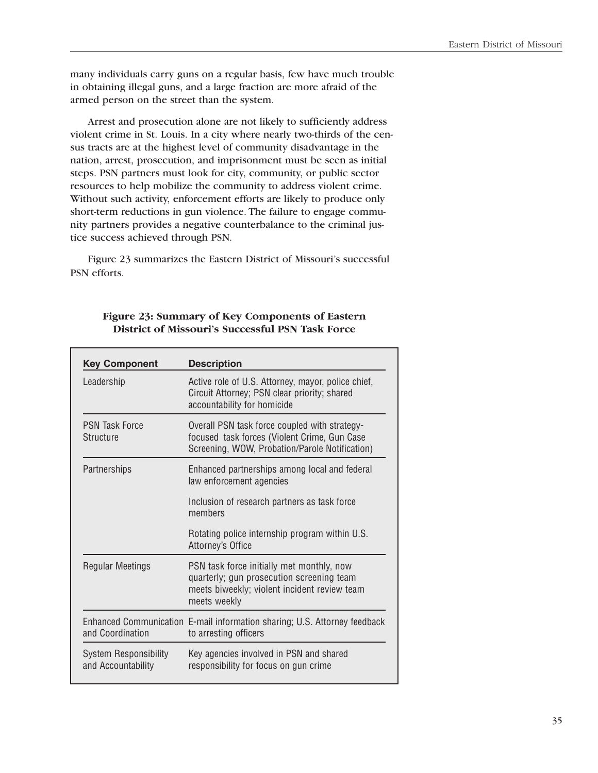many individuals carry guns on a regular basis, few have much trouble in obtaining illegal guns, and a large fraction are more afraid of the armed person on the street than the system.

Arrest and prosecution alone are not likely to sufficiently address violent crime in St. Louis. In a city where nearly two-thirds of the census tracts are at the highest level of community disadvantage in the nation, arrest, prosecution, and imprisonment must be seen as initial steps. PSN partners must look for city, community, or public sector resources to help mobilize the community to address violent crime. Without such activity, enforcement efforts are likely to produce only short-term reductions in gun violence. The failure to engage community partners provides a negative counterbalance to the criminal justice success achieved through PSN.

Figure 23 summarizes the Eastern District of Missouri's successful PSN efforts.

| <b>Key Component</b>                               | <b>Description</b>                                                                                                                                     |  |
|----------------------------------------------------|--------------------------------------------------------------------------------------------------------------------------------------------------------|--|
| Leadership                                         | Active role of U.S. Attorney, mayor, police chief,<br>Circuit Attorney; PSN clear priority; shared<br>accountability for homicide                      |  |
| <b>PSN Task Force</b><br><b>Structure</b>          | Overall PSN task force coupled with strategy-<br>focused task forces (Violent Crime, Gun Case<br>Screening, WOW, Probation/Parole Notification)        |  |
| Partnerships                                       | Enhanced partnerships among local and federal<br>law enforcement agencies                                                                              |  |
|                                                    | Inclusion of research partners as task force<br>members                                                                                                |  |
|                                                    | Rotating police internship program within U.S.<br>Attorney's Office                                                                                    |  |
| <b>Regular Meetings</b>                            | PSN task force initially met monthly, now<br>quarterly; gun prosecution screening team<br>meets biweekly; violent incident review team<br>meets weekly |  |
| and Coordination                                   | Enhanced Communication E-mail information sharing; U.S. Attorney feedback<br>to arresting officers                                                     |  |
| <b>System Responsibility</b><br>and Accountability | Key agencies involved in PSN and shared<br>responsibility for focus on gun crime                                                                       |  |

### **Figure 23: Summary of Key Components of Eastern District of Missouri's Successful PSN Task Force**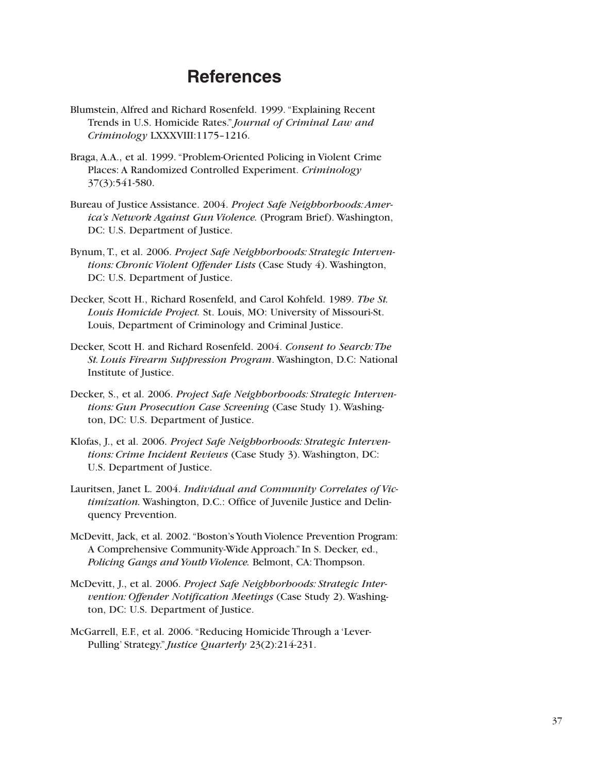# **References**

- Blumstein, Alfred and Richard Rosenfeld. 1999. "Explaining Recent Trends in U.S. Homicide Rates." *Journal of Criminal Law and Criminology* LXXXVIII:1175–1216.
- Braga, A.A., et al. 1999. "Problem-Oriented Policing in Violent Crime Places: A Randomized Controlled Experiment. *Criminology*  37(3):541-580.
- Bureau of Justice Assistance. 2004. *Project Safe Neighborhoods:America's Network Against Gun Violence.* (Program Brief). Washington, DC: U.S. Department of Justice.
- Bynum, T., et al. 2006. *Project Safe Neighborhoods: Strategic Interventions: Chronic Violent Offender Lists* (Case Study 4). Washington, DC: U.S. Department of Justice.
- Decker, Scott H., Richard Rosenfeld, and Carol Kohfeld. 1989. *The St. Louis Homicide Project.* St. Louis, MO: University of Missouri-St. Louis, Department of Criminology and Criminal Justice.
- Decker, Scott H. and Richard Rosenfeld. 2004. *Consent to Search:The St. Louis Firearm Suppression Program*. Washington, D.C: National Institute of Justice.
- Decker, S., et al. 2006. *Project Safe Neighborhoods: Strategic Interventions: Gun Prosecution Case Screening* (Case Study 1). Washington, DC: U.S. Department of Justice.
- Klofas, J., et al. 2006. *Project Safe Neighborhoods: Strategic Interventions: Crime Incident Reviews* (Case Study 3). Washington, DC: U.S. Department of Justice.
- Lauritsen, Janet L. 2004. *Individual and Community Correlates of Victimization.* Washington, D.C.: Office of Juvenile Justice and Delinquency Prevention.
- McDevitt, Jack, et al. 2002. "Boston's Youth Violence Prevention Program: A Comprehensive Community-Wide Approach." In S. Decker, ed., *Policing Gangs and Youth Violence.* Belmont, CA: Thompson.
- McDevitt, J., et al. 2006. *Project Safe Neighborhoods: Strategic Intervention: Offender Notification Meetings* (Case Study 2). Washington, DC: U.S. Department of Justice.
- McGarrell, E.F., et al. 2006. "Reducing Homicide Through a 'Lever-Pulling' Strategy." *Justice Quarterly* 23(2):214-231.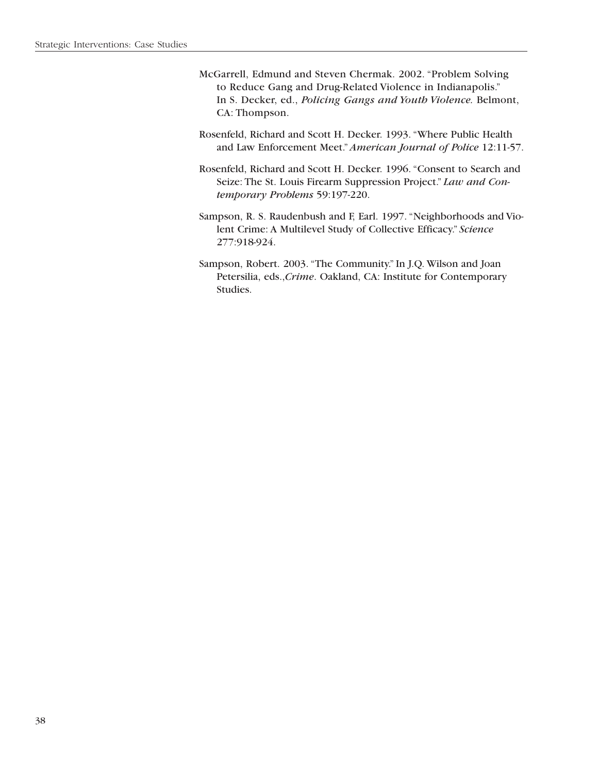- McGarrell, Edmund and Steven Chermak. 2002. "Problem Solving to Reduce Gang and Drug-Related Violence in Indianapolis." In S. Decker, ed., *Policing Gangs and Youth Violence.* Belmont, CA: Thompson.
- Rosenfeld, Richard and Scott H. Decker. 1993. "Where Public Health and Law Enforcement Meet." *American Journal of Police* 12:11-57.
- Rosenfeld, Richard and Scott H. Decker. 1996. "Consent to Search and Seize: The St. Louis Firearm Suppression Project." *Law and Contemporary Problems* 59:197-220.
- Sampson, R. S. Raudenbush and F, Earl. 1997. "Neighborhoods and Violent Crime: A Multilevel Study of Collective Efficacy." *Science*  277:918-924.
- Sampson, Robert. 2003. "The Community." In J.Q. Wilson and Joan Petersilia, eds.,*Crime*. Oakland, CA: Institute for Contemporary Studies.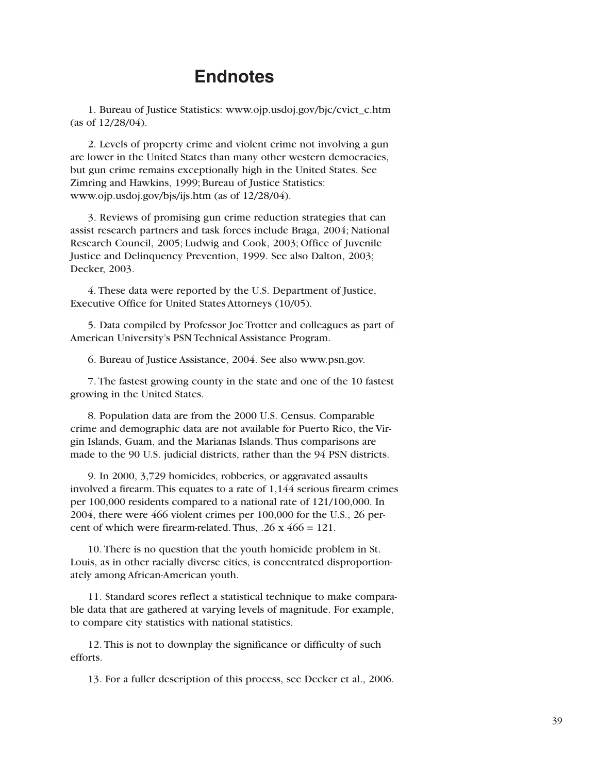### **Endnotes**

1. Bureau of Justice Statistics: www.ojp.usdoj.gov/bjc/cvict\_c.htm (as of 12/28/04).

2. Levels of property crime and violent crime not involving a gun are lower in the United States than many other western democracies, but gun crime remains exceptionally high in the United States. See Zimring and Hawkins, 1999; Bureau of Justice Statistics: www.ojp.usdoj.gov/bjs/ijs.htm (as of 12/28/04).

3. Reviews of promising gun crime reduction strategies that can assist research partners and task forces include Braga, 2004; National Research Council, 2005; Ludwig and Cook, 2003; Office of Juvenile Justice and Delinquency Prevention, 1999. See also Dalton, 2003; Decker, 2003.

4. These data were reported by the U.S. Department of Justice, Executive Office for United States Attorneys (10/05).

5. Data compiled by Professor Joe Trotter and colleagues as part of American University's PSN Technical Assistance Program.

6. Bureau of Justice Assistance, 2004. See also www.psn.gov.

7. The fastest growing county in the state and one of the 10 fastest growing in the United States.

8. Population data are from the 2000 U.S. Census. Comparable crime and demographic data are not available for Puerto Rico, the Virgin Islands, Guam, and the Marianas Islands. Thus comparisons are made to the 90 U.S. judicial districts, rather than the 94 PSN districts.

9. In 2000, 3,729 homicides, robberies, or aggravated assaults involved a firearm. This equates to a rate of 1,144 serious firearm crimes per 100,000 residents compared to a national rate of 121/100,000. In 2004, there were 466 violent crimes per 100,000 for the U.S., 26 percent of which were firearm-related. Thus,  $.26 \times 466 = 121$ .

10. There is no question that the youth homicide problem in St. Louis, as in other racially diverse cities, is concentrated disproportionately among African-American youth.

11. Standard scores reflect a statistical technique to make comparable data that are gathered at varying levels of magnitude. For example, to compare city statistics with national statistics.

12. This is not to downplay the significance or difficulty of such efforts.

13. For a fuller description of this process, see Decker et al., 2006.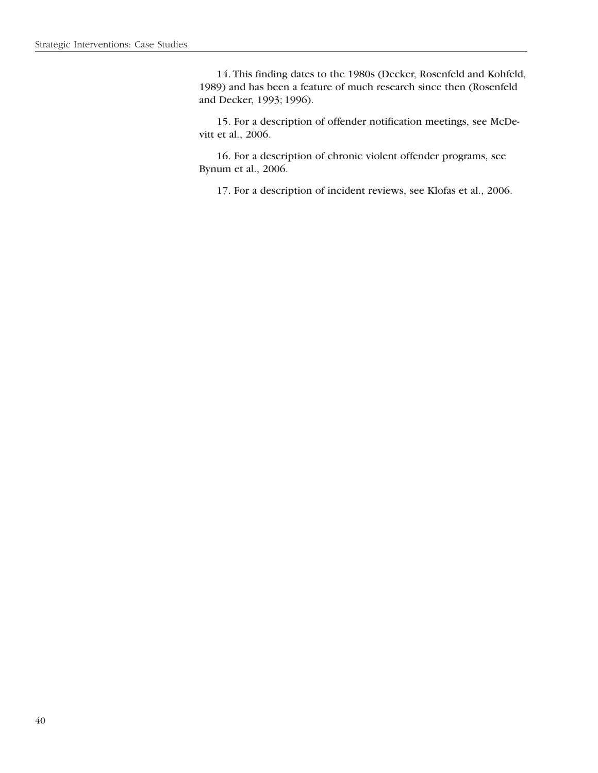14. This finding dates to the 1980s (Decker, Rosenfeld and Kohfeld, 1989) and has been a feature of much research since then (Rosenfeld and Decker, 1993; 1996).

15. For a description of offender notification meetings, see McDevitt et al., 2006.

16. For a description of chronic violent offender programs, see Bynum et al., 2006.

17. For a description of incident reviews, see Klofas et al., 2006.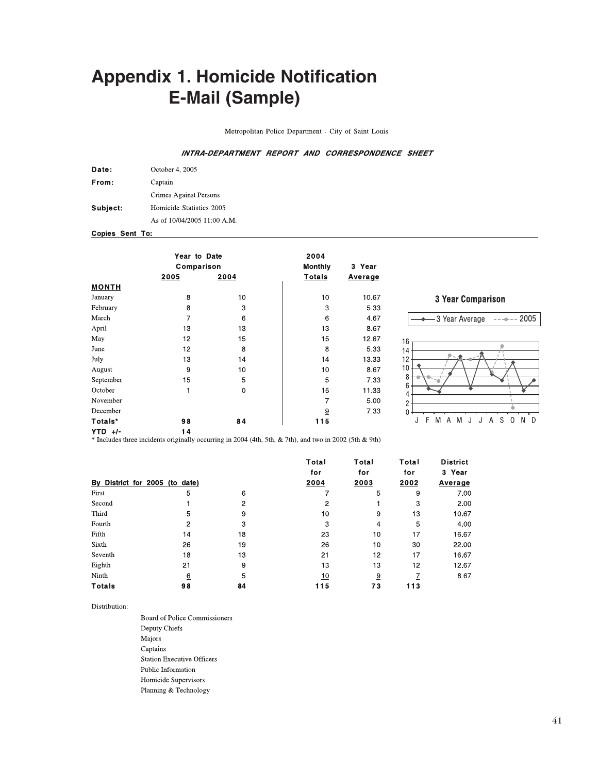# **Appendix 1. Homicide Notification E-Mail (Sample)**

Metropolitan Police Department - City of Saint Louis

#### INTRA-DEPARTMENT REPORT AND CORRESPONDENCE SHEET

| Date:    | October 4, 2005             |
|----------|-----------------------------|
| From:    | Captain                     |
|          | Crimes Against Persons      |
| Subject: | Homicide Statistics 2005    |
|          | As of 10/04/2005 11:00 A.M. |

Copies Sent To:

|              | Year to Date<br>Comparison |      | 2004<br>Monthly | 3 Year  |  |
|--------------|----------------------------|------|-----------------|---------|--|
|              | 2005                       | 2004 | <b>Totals</b>   | Average |  |
| <b>MONTH</b> |                            |      |                 |         |  |
| January      | 8                          | 10   | 10              | 10.67   |  |
| February     | 8                          | 3    | 3               | 5.33    |  |
| March        | 7                          | 6    | 6               | 4.67    |  |
| April        | 13                         | 13   | 13              | 8.67    |  |
| May          | 12                         | 15   | 15              | 12.67   |  |
| June         | 12                         | 8    | 8               | 5.33    |  |
| July         | 13                         | 14   | 14              | 13.33   |  |
| August       | 9                          | 10   | 10              | 8.67    |  |
| September    | 15                         | 5    | 5               | 7.33    |  |
| October      | 1                          | 0    | 15              | 11 33   |  |
| November     |                            |      | 7               | 5.00    |  |
| December     |                            |      | $\overline{9}$  | 7.33    |  |
| Totals*      | 98                         | 84   | 115             |         |  |
| $VTD \cup L$ | 14                         |      |                 |         |  |



**YTD** +/-<br>
\* Includes three incidents originally occurring in 2004 (4th, 5th, & 7th), and two in 2002 (5th & 9th)

|                                |    |      | Total | Total<br>for   | Total<br>for | <b>District</b><br>3 Year |
|--------------------------------|----|------|-------|----------------|--------------|---------------------------|
|                                |    |      | for   |                |              |                           |
| By District for 2005 (to date) |    | 2004 | 2003  | 2002           | Average      |                           |
| First                          | 5  | 6    |       | 5              | 9            | 7.00                      |
| Second                         |    | 2    | 2     |                | 3            | 2.00                      |
| Third                          | 5  | 9    | 10    | 9              | 13           | 10.67                     |
| Fourth                         | 2  | 3    | 3     | 4              | 5            | 4.00                      |
| Fifth                          | 14 | 18   | 23    | 10             | 17           | 16.67                     |
| Sixth                          | 26 | 19   | 26    | 10             | 30           | 22.00                     |
| Seventh                        | 18 | 13   | 21    | 12             | 17           | 16.67                     |
| Eighth                         | 21 | 9    | 13    | 13             | 12           | 12.67                     |
| Ninth                          | 6  | 5    | 10    | $\overline{9}$ |              | 8.67                      |
| <b>Totals</b>                  | 98 | 84   | 115   | 73             | 113          |                           |

Distribution:

Board of Police Commissioners Deputy Chiefs Majors Captains **Station Executive Officers** Public Information Homicide Supervisors Planning & Technology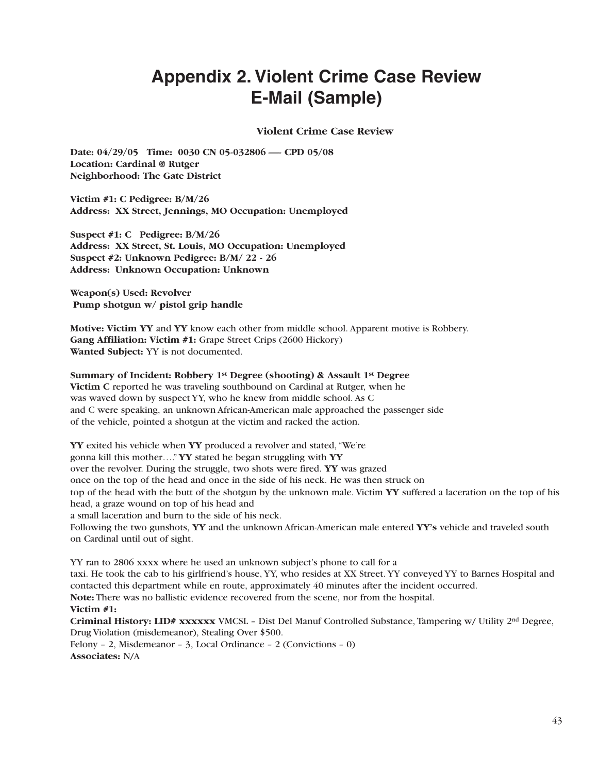# **Appendix 2. Violent Crime Case Review E-Mail (Sample)**

### **Violent Crime Case Review**

Date: 04/29/05 Time: 0030 CN 05-032806 — CPD 05/08 **Location: Cardinal @ Rutger Neighborhood: The Gate District** 

**Victim #1: C Pedigree: B/M/26 Address: XX Street, Jennings, MO Occupation: Unemployed** 

**Suspect #1: C Pedigree: B/M/26 Address: XX Street, St. Louis, MO Occupation: Unemployed Suspect #2: Unknown Pedigree: B/M/ 22 - 26 Address: Unknown Occupation: Unknown** 

**Weapon(s) Used: Revolver Pump shotgun w/ pistol grip handle** 

**Motive: Victim YY** and **YY** know each other from middle school. Apparent motive is Robbery. **Gang Affiliation: Victim #1:** Grape Street Crips (2600 Hickory) **Wanted Subject:** YY is not documented.

### **Summary of Incident: Robbery 1st Degree (shooting) & Assault 1st Degree**

**Victim C** reported he was traveling southbound on Cardinal at Rutger, when he was waved down by suspect YY, who he knew from middle school. As C and C were speaking, an unknown African-American male approached the passenger side of the vehicle, pointed a shotgun at the victim and racked the action.

**YY** exited his vehicle when **YY** produced a revolver and stated, "We're gonna kill this mother…." **YY** stated he began struggling with **YY** over the revolver. During the struggle, two shots were fired. **YY** was grazed once on the top of the head and once in the side of his neck. He was then struck on top of the head with the butt of the shotgun by the unknown male. Victim **YY** suffered a laceration on the top of his head, a graze wound on top of his head and a small laceration and burn to the side of his neck. Following the two gunshots, **YY** and the unknown African-American male entered **YY's** vehicle and traveled south on Cardinal until out of sight.

YY ran to 2806 xxxx where he used an unknown subject's phone to call for a taxi. He took the cab to his girlfriend's house, YY, who resides at XX Street. YY conveyed YY to Barnes Hospital and

contacted this department while en route, approximately 40 minutes after the incident occurred.

**Note:** There was no ballistic evidence recovered from the scene, nor from the hospital. **Victim #1:** 

**Criminal History: LID# xxxxxx** VMCSL – Dist Del Manuf Controlled Substance, Tampering w/ Utility 2nd Degree, Drug Violation (misdemeanor), Stealing Over \$500.

Felony – 2, Misdemeanor – 3, Local Ordinance – 2 (Convictions – 0) **Associates:** N/A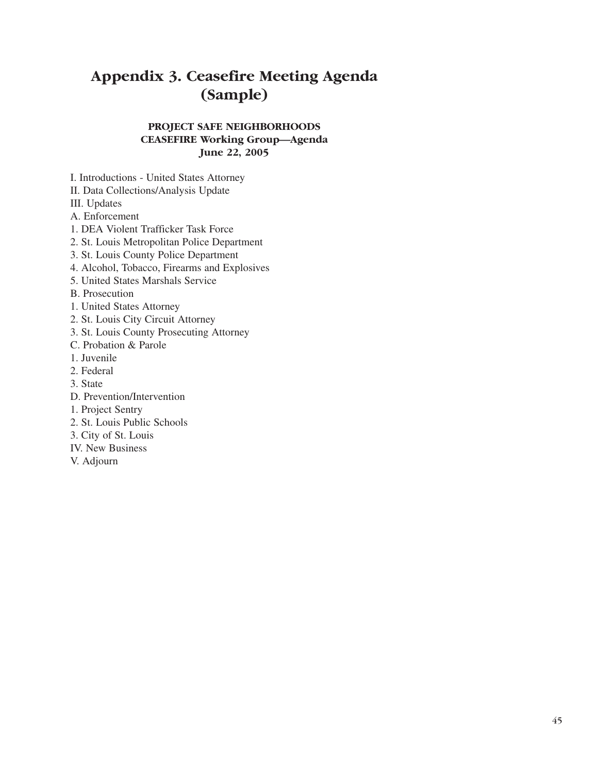# **Appendix 3. Ceasefire Meeting Agenda (Sample)**

### **PROJECT SAFE NEIGHBORHOODS CEASEFIRE Working Group—Agenda June 22, 2005**

I. Introductions - United States Attorney

II. Data Collections/Analysis Update

III. Updates

A. Enforcement

- 1. DEA Violent Trafficker Task Force
- 2. St. Louis Metropolitan Police Department
- 3. St. Louis County Police Department
- 4. Alcohol, Tobacco, Firearms and Explosives
- 5. United States Marshals Service
- B. Prosecution
- 1. United States Attorney
- 2. St. Louis City Circuit Attorney
- 3. St. Louis County Prosecuting Attorney
- C. Probation & Parole
- 1. Juvenile
- 2. Federal
- 3. State
- D. Prevention/Intervention
- 1. Project Sentry
- 2. St. Louis Public Schools
- 3. City of St. Louis
- IV. New Business
- V. Adjourn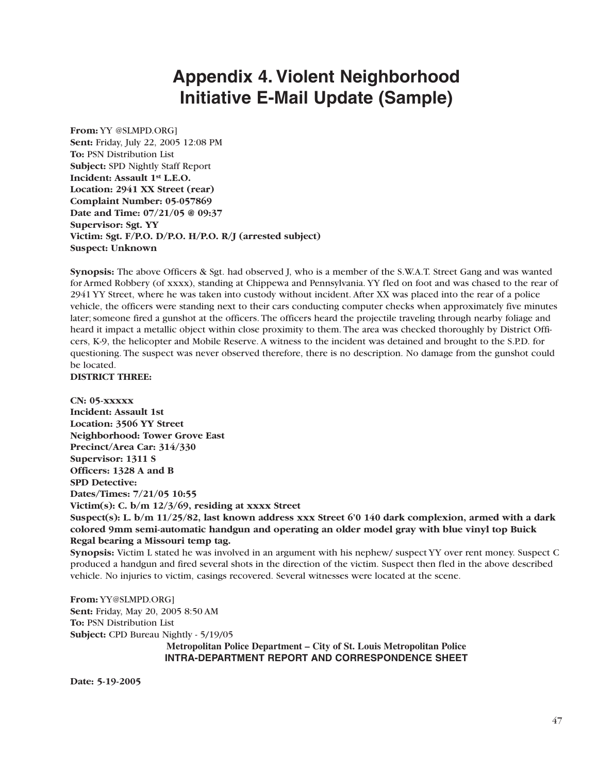# **Appendix 4. Violent Neighborhood Initiative E-Mail Update (Sample)**

**From:** YY @SLMPD.ORG] **Sent:** Friday, July 22, 2005 12:08 PM **To:** PSN Distribution List **Subject:** SPD Nightly Staff Report **Incident: Assault 1st L.E.O. Location: 2941 XX Street (rear) Complaint Number: 05-057869 Date and Time: 07/21/05 @ 09:37 Supervisor: Sgt. YY Victim: Sgt. F/P.O. D/P.O. H/P.O. R/J (arrested subject) Suspect: Unknown** 

**Synopsis:** The above Officers & Sgt. had observed J, who is a member of the S.W.A.T. Street Gang and was wanted for Armed Robbery (of xxxx), standing at Chippewa and Pennsylvania. YY fled on foot and was chased to the rear of 2941 YY Street, where he was taken into custody without incident. After XX was placed into the rear of a police vehicle, the officers were standing next to their cars conducting computer checks when approximately five minutes later; someone fired a gunshot at the officers. The officers heard the projectile traveling through nearby foliage and heard it impact a metallic object within close proximity to them. The area was checked thoroughly by District Officers, K-9, the helicopter and Mobile Reserve. A witness to the incident was detained and brought to the S.P.D. for questioning. The suspect was never observed therefore, there is no description. No damage from the gunshot could be located.

### **DISTRICT THREE:**

**CN: 05-xxxxx Incident: Assault 1st Location: 3506 YY Street Neighborhood: Tower Grove East Precinct/Area Car: 314/330 Supervisor: 1311 S Officers: 1328 A and B SPD Detective: Dates/Times: 7/21/05 10:55 Victim(s): C. b/m 12/3/69, residing at xxxx Street Suspect(s): L. b/m 11/25/82, last known address xxx Street 6'0 140 dark complexion, armed with a dark colored 9mm semi-automatic handgun and operating an older model gray with blue vinyl top Buick Regal bearing a Missouri temp tag.** 

**Synopsis:** Victim L stated he was involved in an argument with his nephew/ suspect YY over rent money. Suspect C produced a handgun and fired several shots in the direction of the victim. Suspect then fled in the above described vehicle. No injuries to victim, casings recovered. Several witnesses were located at the scene.

**From:** YY@SLMPD.ORG] **Sent:** Friday, May 20, 2005 8:50 AM **To:** PSN Distribution List **Subject:** CPD Bureau Nightly - 5/19/05 **Metropolitan Police Department – City of St. Louis Metropolitan Police INTRA-DEPARTMENT REPORT AND CORRESPONDENCE SHEET** 

**Date: 5-19-2005**